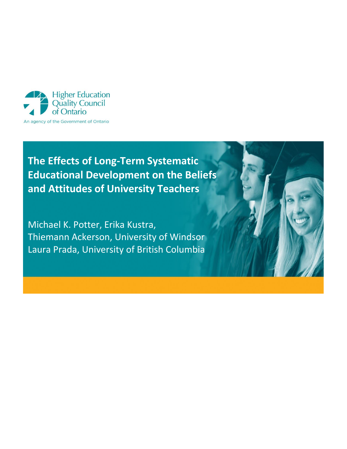

# **The Effects of Long-Term Systematic Educational Development on the Beliefs and Attitudes of University Teachers**

Michael K. Potter, Erika Kustra, Thiemann Ackerson, University of Windsor Laura Prada, University of British Columbia

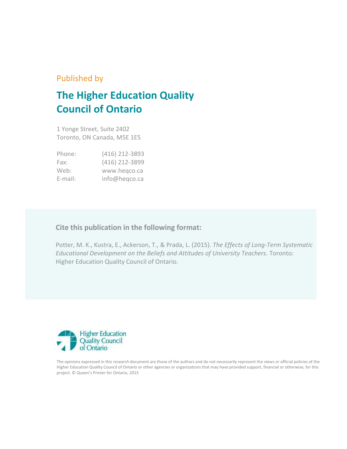# Published by

# **The Higher Education Quality Council of Ontario**

1 Yonge Street, Suite 2402 Toronto, ON Canada, M5E 1E5

| Phone:     | (416) 212-3893 |
|------------|----------------|
| Fax:       | (416) 212-3899 |
| Web:       | www.hegco.ca   |
| $E$ -mail: | info@heqco.ca  |

# **Cite this publication in the following format:**

Potter, M. K., Kustra, E., Ackerson, T., & Prada, L. (2015). *The Effects of Long-Term Systematic Educational Development on the Beliefs and Attitudes of University Teachers.* Toronto: Higher Education Quality Council of Ontario.



The opinions expressed in this research document are those of the authors and do not necessarily represent the views or official policies of the Higher Education Quality Council of Ontario or other agencies or organizations that may have provided support, financial or otherwise, for this project. © Queen's Printer for Ontario, 2015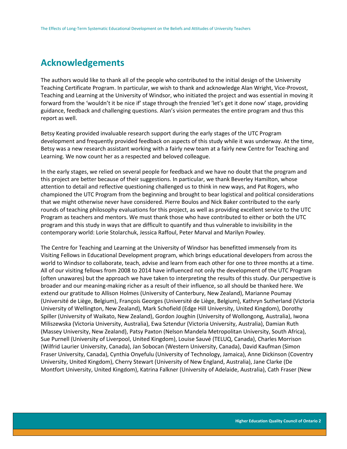# **Acknowledgements**

The authors would like to thank all of the people who contributed to the initial design of the University Teaching Certificate Program. In particular, we wish to thank and acknowledge Alan Wright, Vice-Provost, Teaching and Learning at the University of Windsor, who initiated the project and was essential in moving it forward from the 'wouldn't it be nice if' stage through the frenzied 'let's get it done now' stage, providing guidance, feedback and challenging questions. Alan's vision permeates the entire program and thus this report as well.

Betsy Keating provided invaluable research support during the early stages of the UTC Program development and frequently provided feedback on aspects of this study while it was underway. At the time, Betsy was a new research assistant working with a fairly new team at a fairly new Centre for Teaching and Learning. We now count her as a respected and beloved colleague.

In the early stages, we relied on several people for feedback and we have no doubt that the program and this project are better because of their suggestions. In particular, we thank Beverley Hamilton, whose attention to detail and reflective questioning challenged us to think in new ways, and Pat Rogers, who championed the UTC Program from the beginning and brought to bear logistical and political considerations that we might otherwise never have considered. Pierre Boulos and Nick Baker contributed to the early rounds of teaching philosophy evaluations for this project, as well as providing excellent service to the UTC Program as teachers and mentors. We must thank those who have contributed to either or both the UTC program and this study in ways that are difficult to quantify and thus vulnerable to invisibility in the contemporary world: Lorie Stolarchuk, Jessica Raffoul, Peter Marval and Marilyn Powley.

The Centre for Teaching and Learning at the University of Windsor has benefitted immensely from its Visiting Fellows in Educational Development program, which brings educational developers from across the world to Windsor to collaborate, teach, advise and learn from each other for one to three months at a time. All of our visiting fellows from 2008 to 2014 have influenced not only the development of the UTC Program (often unawares) but the approach we have taken to interpreting the results of this study. Our perspective is broader and our meaning-making richer as a result of their influence, so all should be thanked here. We extend our gratitude to Allison Holmes (University of Canterbury, New Zealand), Marianne Poumay (Université de Liège, Belgium), François Georges (Université de Liège, Belgium), Kathryn Sutherland (Victoria University of Wellington, New Zealand), Mark Schofield (Edge Hill University, United Kingdom), Dorothy Spiller (University of Waikato, New Zealand), Gordon Joughin (University of Wollongong, Australia), Iwona Miliszewska (Victoria University, Australia), Ewa Sztendur (Victoria University, Australia), Damian Ruth (Massey University, New Zealand), Patsy Paxton (Nelson Mandela Metropolitan University, South Africa), Sue Purnell (University of Liverpool, United Kingdom), Louise Sauvé (TELUQ, Canada), Charles Morrison (Wilfrid Laurier University, Canada), Jan Sobocan (Western University, Canada), David Kaufman (Simon Fraser University, Canada), Cynthia Onyefulu (University of Technology, Jamaica), Anne Dickinson (Coventry University, United Kingdom), Cherry Stewart (University of New England, Australia), Jane Clarke (De Montfort University, United Kingdom), Katrina Falkner (University of Adelaide, Australia), Cath Fraser (New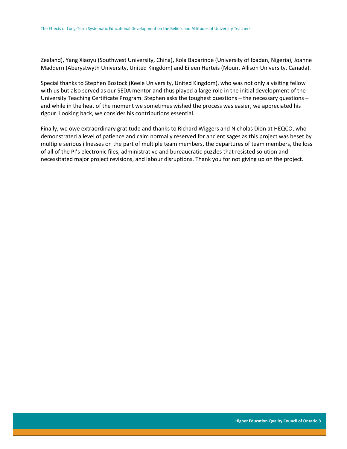Zealand), Yang Xiaoyu (Southwest University, China), Kola Babarinde (University of Ibadan, Nigeria), Joanne Maddern (Aberystwyth University, United Kingdom) and Eileen Herteis (Mount Allison University, Canada).

Special thanks to Stephen Bostock (Keele University, United Kingdom), who was not only a visiting fellow with us but also served as our SEDA mentor and thus played a large role in the initial development of the University Teaching Certificate Program. Stephen asks the toughest questions – the necessary questions – and while in the heat of the moment we sometimes wished the process was easier, we appreciated his rigour. Looking back, we consider his contributions essential.

Finally, we owe extraordinary gratitude and thanks to Richard Wiggers and Nicholas Dion at HEQCO, who demonstrated a level of patience and calm normally reserved for ancient sages as this project was beset by multiple serious illnesses on the part of multiple team members, the departures of team members, the loss of all of the PI's electronic files, administrative and bureaucratic puzzles that resisted solution and necessitated major project revisions, and labour disruptions. Thank you for not giving up on the project.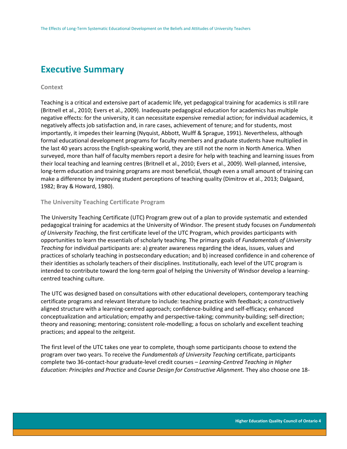# **Executive Summary**

#### **Context**

Teaching is a critical and extensive part of academic life, yet pedagogical training for academics is still rare (Britnell et al., 2010; Evers et al., 2009). Inadequate pedagogical education for academics has multiple negative effects: for the university, it can necessitate expensive remedial action; for individual academics, it negatively affects job satisfaction and, in rare cases, achievement of tenure; and for students, most importantly, it impedes their learning (Nyquist, Abbott, Wulff & Sprague, 1991). Nevertheless, although formal educational development programs for faculty members and graduate students have multiplied in the last 40 years across the English-speaking world, they are still not the norm in North America. When surveyed, more than half of faculty members report a desire for help with teaching and learning issues from their local teaching and learning centres (Britnell et al., 2010; Evers et al., 2009). Well-planned, intensive, long-term education and training programs are most beneficial, though even a small amount of training can make a difference by improving student perceptions of teaching quality (Dimitrov et al., 2013; Dalgaard, 1982; Bray & Howard, 1980).

#### **The University Teaching Certificate Program**

The University Teaching Certificate (UTC) Program grew out of a plan to provide systematic and extended pedagogical training for academics at the University of Windsor. The present study focuses on *Fundamentals of University Teaching*, the first certificate level of the UTC Program, which provides participants with opportunities to learn the essentials of scholarly teaching. The primary goals of *Fundamentals of University Teaching* for individual participants are: a) greater awareness regarding the ideas, issues, values and practices of scholarly teaching in postsecondary education; and b) increased confidence in and coherence of their identities as scholarly teachers of their disciplines. Institutionally, each level of the UTC program is intended to contribute toward the long-term goal of helping the University of Windsor develop a learningcentred teaching culture.

The UTC was designed based on consultations with other educational developers, contemporary teaching certificate programs and relevant literature to include: teaching practice with feedback; a constructively aligned structure with a learning-centred approach; confidence-building and self-efficacy; enhanced conceptualization and articulation; empathy and perspective-taking; community-building; self-direction; theory and reasoning; mentoring; consistent role-modelling; a focus on scholarly and excellent teaching practices; and appeal to the zeitgeist.

The first level of the UTC takes one year to complete, though some participants choose to extend the program over two years. To receive the *Fundamentals of University Teaching* certificate, participants complete two 36-contact-hour graduate-level credit courses *– Learning-Centred Teaching in Higher Education: Principles and Practice* and *Course Design for Constructive Alignmen*t. They also choose one 18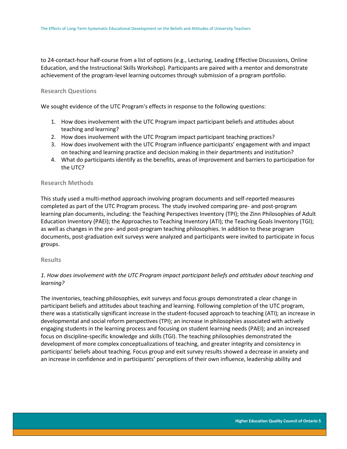to 24-contact-hour half-course from a list of options (e.g., Lecturing, Leading Effective Discussions, Online Education, and the Instructional Skills Workshop). Participants are paired with a mentor and demonstrate achievement of the program-level learning outcomes through submission of a program portfolio.

#### **Research Questions**

We sought evidence of the UTC Program's effects in response to the following questions:

- 1. How does involvement with the UTC Program impact participant beliefs and attitudes about teaching and learning?
- 2. How does involvement with the UTC Program impact participant teaching practices?
- 3. How does involvement with the UTC Program influence participants' engagement with and impact on teaching and learning practice and decision making in their departments and institution?
- 4. What do participants identify as the benefits, areas of improvement and barriers to participation for the UTC?

#### **Research Methods**

This study used a multi-method approach involving program documents and self-reported measures completed as part of the UTC Program process. The study involved comparing pre- and post-program learning plan documents, including: the Teaching Perspectives Inventory (TPI); the Zinn Philosophies of Adult Education Inventory (PAEI); the Approaches to Teaching Inventory (ATI); the Teaching Goals Inventory (TGI); as well as changes in the pre- and post-program teaching philosophies. In addition to these program documents, post-graduation exit surveys were analyzed and participants were invited to participate in focus groups.

#### **Results**

## *1. How does involvement with the UTC Program impact participant beliefs and attitudes about teaching and learning?*

The inventories, teaching philosophies, exit surveys and focus groups demonstrated a clear change in participant beliefs and attitudes about teaching and learning. Following completion of the UTC program, there was a statistically significant increase in the student-focused approach to teaching (ATI); an increase in developmental and social reform perspectives (TPI); an increase in philosophies associated with actively engaging students in the learning process and focusing on student learning needs (PAEI); and an increased focus on discipline-specific knowledge and skills (TGI). The teaching philosophies demonstrated the development of more complex conceptualizations of teaching, and greater integrity and consistency in participants' beliefs about teaching. Focus group and exit survey results showed a decrease in anxiety and an increase in confidence and in participants' perceptions of their own influence, leadership ability and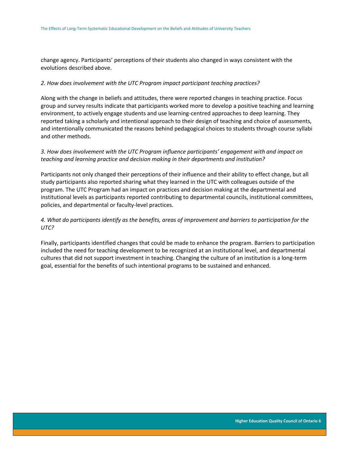change agency. Participants' perceptions of their students also changed in ways consistent with the evolutions described above.

#### *2. How does involvement with the UTC Program impact participant teaching practices?*

Along with the change in beliefs and attitudes, there were reported changes in teaching practice. Focus group and survey results indicate that participants worked more to develop a positive teaching and learning environment, to actively engage students and use learning-centred approaches to deep learning. They reported taking a scholarly and intentional approach to their design of teaching and choice of assessments, and intentionally communicated the reasons behind pedagogical choices to students through course syllabi and other methods.

## *3. How does involvement with the UTC Program influence participants' engagement with and impact on teaching and learning practice and decision making in their departments and institution?*

Participants not only changed their perceptions of their influence and their ability to effect change, but all study participants also reported sharing what they learned in the UTC with colleagues outside of the program. The UTC Program had an impact on practices and decision making at the departmental and institutional levels as participants reported contributing to departmental councils, institutional committees, policies, and departmental or faculty-level practices.

## *4. What do participants identify as the benefits, areas of improvement and barriers to participation for the UTC?*

Finally, participants identified changes that could be made to enhance the program. Barriers to participation included the need for teaching development to be recognized at an institutional level, and departmental cultures that did not support investment in teaching. Changing the culture of an institution is a long-term goal, essential for the benefits of such intentional programs to be sustained and enhanced.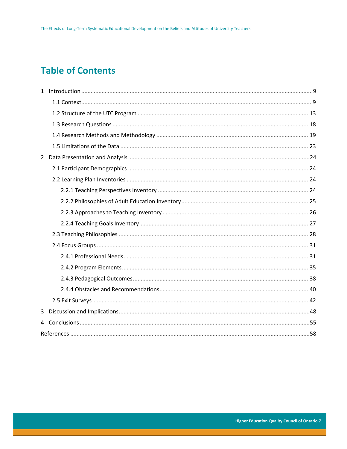# **Table of Contents**

| 3 |  |
|---|--|
| 4 |  |
|   |  |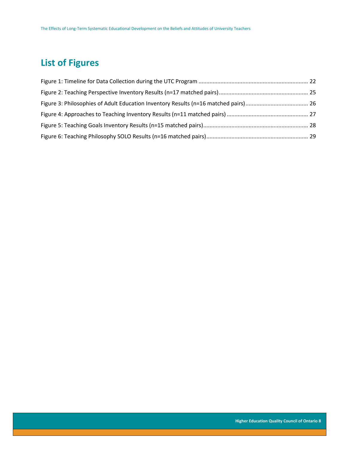# **List of Figures**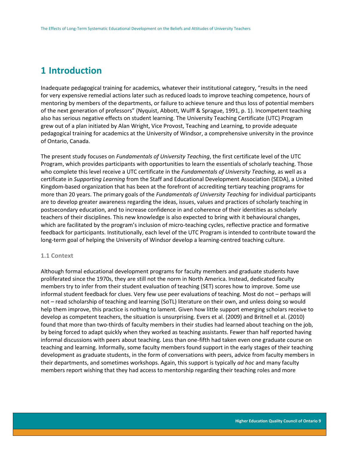# <span id="page-9-0"></span>**1 Introduction**

Inadequate pedagogical training for academics, whatever their institutional category, "results in the need for very expensive remedial actions later such as reduced loads to improve teaching competence, hours of mentoring by members of the departments, or failure to achieve tenure and thus loss of potential members of the next generation of professors" (Nyquist, Abbott, Wulff & Sprague, 1991, p. 1). Incompetent teaching also has serious negative effects on student learning. The University Teaching Certificate (UTC) Program grew out of a plan initiated by Alan Wright, Vice Provost, Teaching and Learning, to provide adequate pedagogical training for academics at the University of Windsor, a comprehensive university in the province of Ontario, Canada.

The present study focuses on *Fundamentals of University Teaching*, the first certificate level of the UTC Program, which provides participants with opportunities to learn the essentials of scholarly teaching. Those who complete this level receive a UTC certificate in the *Fundamentals of University Teaching*, as well as a certificate in *Supporting Learning* from the Staff and Educational Development Association (SEDA), a United Kingdom-based organization that has been at the forefront of accrediting tertiary teaching programs for more than 20 years. The primary goals of the *Fundamentals of University Teaching* for individual participants are to develop greater awareness regarding the ideas, issues, values and practices of scholarly teaching in postsecondary education, and to increase confidence in and coherence of their identities as scholarly teachers of their disciplines. This new knowledge is also expected to bring with it behavioural changes, which are facilitated by the program's inclusion of micro-teaching cycles, reflective practice and formative feedback for participants. Institutionally, each level of the UTC Program is intended to contribute toward the long-term goal of helping the University of Windsor develop a learning-centred teaching culture.

### <span id="page-9-1"></span>**1.1 Context**

Although formal educational development programs for faculty members and graduate students have proliferated since the 1970s, they are still not the norm in North America. Instead, dedicated faculty members try to infer from their student evaluation of teaching (SET) scores how to improve. Some use informal student feedback for clues. Very few use peer evaluations of teaching. Most do not – perhaps will not – read scholarship of teaching and learning (SoTL) literature on their own, and unless doing so would help them improve, this practice is nothing to lament. Given how little support emerging scholars receive to develop as competent teachers, the situation is unsurprising. Evers et al. (2009) and Britnell et al. (2010) found that more than two-thirds of faculty members in their studies had learned about teaching on the job, by being forced to adapt quickly when they worked as teaching assistants. Fewer than half reported having informal discussions with peers about teaching. Less than one-fifth had taken even one graduate course on teaching and learning. Informally, some faculty members found support in the early stages of their teaching development as graduate students, in the form of conversations with peers, advice from faculty members in their departments, and sometimes workshops. Again, this support is typically *ad hoc* and many faculty members report wishing that they had access to mentorship regarding their teaching roles and more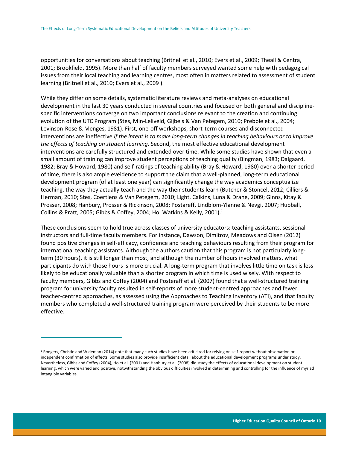opportunities for conversations about teaching (Britnell et al., 2010; Evers et al., 2009; Theall & Centra, 2001; Brookfield, 1995). More than half of faculty members surveyed wanted some help with pedagogical issues from their local teaching and learning centres, most often in matters related to assessment of student learning (Britnell et al., 2010; Evers et al., 2009 ).

While they differ on some details, systematic literature reviews and meta-analyses on educational development in the last 30 years conducted in several countries and focused on both general and disciplinespecific interventions converge on two important conclusions relevant to the creation and continuing evolution of the UTC Program (Stes, Min-Leliveld, Gijbels & Van Petegem, 2010; Prebble et al., 2004; Levinson-Rose & Menges, 1981). First, one-off workshops, short-term courses and disconnected interventions are ineffective *if the intent is to make long-term changes in teaching behaviours or to improve the effects of teaching on student learning*. Second, the most effective educational development interventions are carefully structured and extended over time. While some studies have shown that even a small amount of training can improve student perceptions of teaching quality (Bingman, 1983; Dalgaard, 1982; Bray & Howard, 1980) and self-ratings of teaching ability (Bray & Howard, 1980) over a shorter period of time, there is also ample eveidence to support the claim that a well-planned, long-term educational development program (of at least one year) can significantly change the way academics conceptualize teaching, the way they actually teach and the way their students learn (Butcher & Stoncel, 2012; Cilliers & Herman, 2010; Stes, Coertjens & Van Petegem, 2010; Light, Calkins, Luna & Drane, 2009; Ginns, Kitay & Prosser, 2008; Hanbury, Prosser & Rickinson, 2008; Postareff, Lindblom-Ylanne & Nevgi, 2007; Hubball, Collins & Pratt, 2005; Gibbs & Coffey, 2004; Ho, Watkins & Kelly, 2001).<sup>1</sup>

These conclusions seem to hold true across classes of university educators: teaching assistants, sessional instructors and full-time faculty members. For instance, Dawson, Dimitrov, Meadows and Olsen (2012) found positive changes in self-efficacy, confidence and teaching behaviours resulting from their program for international teaching assistants. Although the authors caution that this program is not particularly longterm (30 hours), it is still longer than most, and although the number of hours involved matters, what participants do with those hours is more crucial. A long-term program that involves little time on task is less likely to be educationally valuable than a shorter program in which time is used wisely. With respect to faculty members, Gibbs and Coffey (2004) and Posteraff et al. (2007) found that a well-structured training program for university faculty resulted in self-reports of more student-centred approaches and fewer teacher-centred approaches, as assessed using the Approaches to Teaching Inventory (ATI), and that faculty members who completed a well-structured training program were perceived by their students to be more effective.

 $\overline{a}$ 

 $1$  Rodgers, Christie and Wideman (2014) note that many such studies have been criticized for relying on self-report without observation or independent confirmation of effects. Some studies also provide insufficient detail about the educational development programs under study. Nevertheless, Gibbs and Coffey (2004), Ho et al. (2001) and Hanbury et al. (2008) did study the effects of educational development on student learning, which were varied and positive, notwithstanding the obvious difficulties involved in determining and controlling for the influence of myriad intangible variables.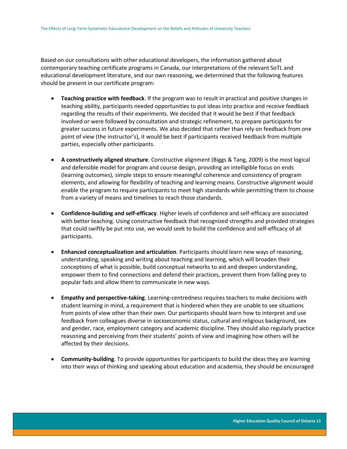Based on our consultations with other educational developers, the information gathered about contemporary teaching certificate programs in Canada, our interpretations of the relevant SoTL and educational development literature, and our own reasoning, we determined that the following features should be present in our certificate program:

- **Teaching practice with feedback**. If the program was to result in practical and positive changes in teaching ability, participants needed opportunities to put ideas into practice and receive feedback regarding the results of their experiments. We decided that it would be best if that feedback involved or were followed by consultation and strategic refinement, to prepare participants for greater success in future experiments. We also decided that rather than rely on feedback from one point of view (the instructor's), it would be best if participants received feedback from multiple parties, especially other participants.
- **A constructively aligned structure**. Constructive alignment (Biggs & Tang, 2009) is the most logical and defensible model for program and course design, providing an intelligible focus on ends (learning outcomes), simple steps to ensure meaningful coherence and consistency of program elements, and allowing for flexibility of teaching and learning means. Constructive alignment would enable the program to require participants to meet high standards while permitting them to choose from a variety of means and timelines to reach those standards.
- **Confidence-building and self-efficacy**. Higher levels of confidence and self-efficacy are associated with better teaching. Using constructive feedback that recognized strengths and provided strategies that could swiftly be put into use, we would seek to build the confidence and self-efficacy of all participants.
- **Enhanced conceptualization and articulation**. Participants should learn new ways of reasoning, understanding, speaking and writing about teaching and learning, which will broaden their conceptions of what is possible, build conceptual networks to aid and deepen understanding, empower them to find connections and defend their practices, prevent them from falling prey to popular fads and allow them to communicate in new ways.
- **Empathy and perspective-taking**. Learning-centredness requires teachers to make decisions with student learning in mind, a requirement that is hindered when they are unable to see situations from points of view other than their own. Our participants should learn how to interpret and use feedback from colleagues diverse in socioeconomic status, cultural and religious background, sex and gender, race, employment category and academic discipline. They should also regularly practice reasoning and perceiving from their students' points of view and imagining how others will be affected by their decisions.
- **Community-building**. To provide opportunities for participants to build the ideas they are learning into their ways of thinking and speaking about education and academia, they should be encouraged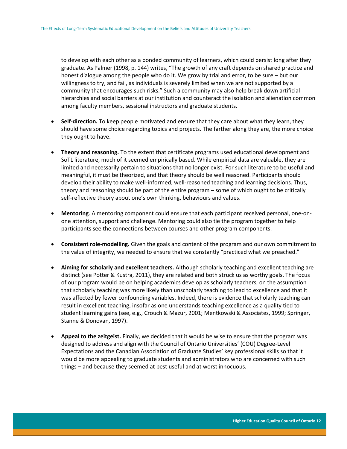to develop with each other as a bonded community of learners, which could persist long after they graduate. As Palmer (1998, p. 144) writes, "The growth of any craft depends on shared practice and honest dialogue among the people who do it. We grow by trial and error, to be sure – but our willingness to try, and fail, as individuals is severely limited when we are not supported by a community that encourages such risks." Such a community may also help break down artificial hierarchies and social barriers at our institution and counteract the isolation and alienation common among faculty members, sessional instructors and graduate students.

- **Self-direction.** To keep people motivated and ensure that they care about what they learn, they should have some choice regarding topics and projects. The farther along they are, the more choice they ought to have.
- **Theory and reasoning.** To the extent that certificate programs used educational development and SoTL literature, much of it seemed empirically based. While empirical data are valuable, they are limited and necessarily pertain to situations that no longer exist. For such literature to be useful and meaningful, it must be theorized, and that theory should be well reasoned. Participants should develop their ability to make well-informed, well-reasoned teaching and learning decisions. Thus, theory and reasoning should be part of the entire program – some of which ought to be critically self-reflective theory about one's own thinking, behaviours and values.
- **Mentoring**. A mentoring component could ensure that each participant received personal, one-onone attention, support and challenge. Mentoring could also tie the program together to help participants see the connections between courses and other program components.
- **Consistent role-modelling.** Given the goals and content of the program and our own commitment to the value of integrity, we needed to ensure that we constantly "practiced what we preached."
- **Aiming for scholarly and excellent teachers.** Although scholarly teaching and excellent teaching are distinct (see Potter & Kustra, 2011), they are related and both struck us as worthy goals. The focus of our program would be on helping academics develop as scholarly teachers, on the assumption that scholarly teaching was more likely than unscholarly teaching to lead to excellence and that it was affected by fewer confounding variables. Indeed, there is evidence that scholarly teaching can result in excellent teaching, insofar as one understands teaching excellence as a quality tied to student learning gains (see, e.g., Crouch & Mazur, 2001; Mentkowski & Associates, 1999; Springer, Stanne & Donovan, 1997).
- **Appeal to the zeitgeist.** Finally, we decided that it would be wise to ensure that the program was designed to address and align with the Council of Ontario Universities' (COU) Degree-Level Expectations and the Canadian Association of Graduate Studies' key professional skills so that it would be more appealing to graduate students and administrators who are concerned with such things – and because they seemed at best useful and at worst innocuous.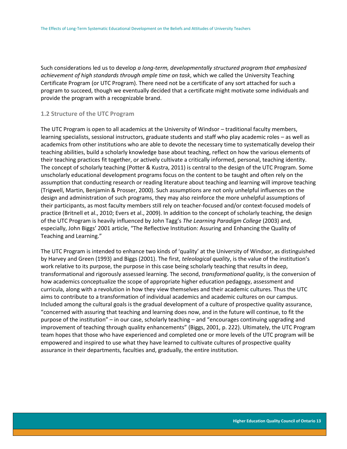Such considerations led us to develop *a long-term, developmentally structured program that emphasized achievement of high standards through ample time on task*, which we called the University Teaching Certificate Program (or UTC Program). There need not be a certificate of any sort attached for such a program to succeed, though we eventually decided that a certificate might motivate some individuals and provide the program with a recognizable brand.

#### <span id="page-13-0"></span>**1.2 Structure of the UTC Program**

The UTC Program is open to all academics at the University of Windsor – traditional faculty members, learning specialists, sessional instructors, graduate students and staff who play academic roles – as well as academics from other institutions who are able to devote the necessary time to systematically develop their teaching abilities, build a scholarly knowledge base about teaching, reflect on how the various elements of their teaching practices fit together, or actively cultivate a critically informed, personal, teaching identity. The concept of scholarly teaching (Potter & Kustra, 2011) is central to the design of the UTC Program. Some unscholarly educational development programs focus on the content to be taught and often rely on the assumption that conducting research or reading literature about teaching and learning will improve teaching (Trigwell, Martin, Benjamin & Prosser, 2000). Such assumptions are not only unhelpful influences on the design and administration of such programs, they may also reinforce the more unhelpful assumptions of their participants, as most faculty members still rely on teacher-focused and/or context-focused models of practice (Britnell et al., 2010; Evers et al., 2009). In addition to the concept of scholarly teaching, the design of the UTC Program is heavily influenced by John Tagg's *The Learning Paradigm College* (2003) and, especially, John Biggs' 2001 article, "The Reflective Institution: Assuring and Enhancing the Quality of Teaching and Learning."

The UTC Program is intended to enhance two kinds of 'quality' at the University of Windsor, as distinguished by Harvey and Green (1993) and Biggs (2001). The first, *teleological quality*, is the value of the institution's work relative to its purpose, the purpose in this case being scholarly teaching that results in deep, transformational and rigorously assessed learning. The second, *transformational quality*, is the conversion of how academics conceptualize the scope of appropriate higher education pedagogy, assessment and curricula, along with a revolution in how they view themselves and their academic cultures. Thus the UTC aims to contribute to a transformation of individual academics and academic cultures on our campus. Included among the cultural goals is the gradual development of a culture of prospective quality assurance, "concerned with assuring that teaching and learning does now, and in the future will continue, to fit the purpose of the institution" – in our case, scholarly teaching – and "encourages continuing upgrading and improvement of teaching through quality enhancements" (Biggs, 2001, p. 222). Ultimately, the UTC Program team hopes that those who have experienced and completed one or more levels of the UTC program will be empowered and inspired to use what they have learned to cultivate cultures of prospective quality assurance in their departments, faculties and, gradually, the entire institution.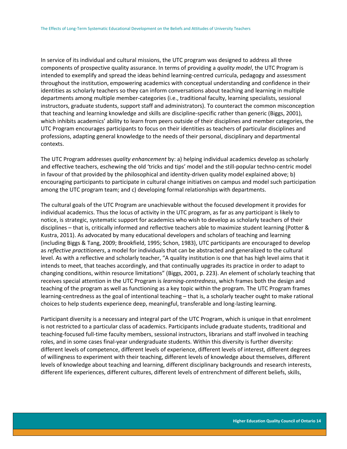In service of its individual and cultural missions, the UTC program was designed to address all three components of prospective quality assurance. In terms of providing a *quality model*, the UTC Program is intended to exemplify and spread the ideas behind learning-centred curricula, pedagogy and assessment throughout the institution, empowering academics with conceptual understanding and confidence in their identities as scholarly teachers so they can inform conversations about teaching and learning in multiple departments among multiple member-categories (i.e., traditional faculty, learning specialists, sessional instructors, graduate students, support staff and administrators). To counteract the common misconception that teaching and learning knowledge and skills are discipline-specific rather than generic (Biggs, 2001), which inhibits academics' ability to learn from peers outside of their disciplines and member categories, the UTC Program encourages participants to focus on their identities as teachers of particular disciplines and professions, adapting general knowledge to the needs of their personal, disciplinary and departmental contexts.

The UTC Program addresses *quality enhancement* by: a) helping individual academics develop as scholarly and effective teachers, eschewing the old 'tricks and tips' model and the still-popular techno-centric model in favour of that provided by the philosophical and identity-driven quality model explained above; b) encouraging participants to participate in cultural change initiatives on campus and model such participation among the UTC program team; and c) developing formal relationships with departments.

The cultural goals of the UTC Program are unachievable without the focused development it provides for individual academics. Thus the locus of activity in the UTC program, as far as any participant is likely to notice, is strategic, systematic support for academics who wish to develop as scholarly teachers of their disciplines – that is, critically informed and reflective teachers able to maximize student learning (Potter & Kustra, 2011). As advocated by many educational developers and scholars of teaching and learning (including Biggs & Tang, 2009; Brookfield, 1995; Schon, 1983), UTC participants are encouraged to develop as *reflective practitioners*, a model for individuals that can be abstracted and generalized to the cultural level. As with a reflective and scholarly teacher, "A quality institution is one that has high level aims that it intends to meet, that teaches accordingly, and that continually upgrades its practice in order to adapt to changing conditions, within resource limitations" (Biggs, 2001, p. 223). An element of scholarly teaching that receives special attention in the UTC Program is *learning-centredness*, which frames both the design and teaching of the program as well as functioning as a key topic within the program. The UTC Program frames learning-centredness as the goal of intentional teaching – that is, a scholarly teacher ought to make rational choices to help students experience deep, meaningful, transferable and long-lasting learning.

Participant diversity is a necessary and integral part of the UTC Program, which is unique in that enrolment is not restricted to a particular class of academics. Participants include graduate students, traditional and teaching-focused full-time faculty members, sessional instructors, librarians and staff involved in teaching roles, and in some cases final-year undergraduate students. Within this diversity is further diversity: different levels of competence, different levels of experience, different levels of interest, different degrees of willingness to experiment with their teaching, different levels of knowledge about themselves, different levels of knowledge about teaching and learning, different disciplinary backgrounds and research interests, different life experiences, different cultures, different levels of entrenchment of different beliefs, skills,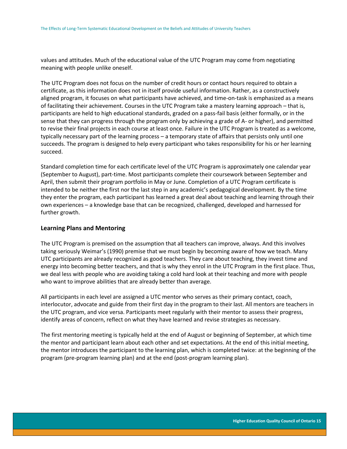values and attitudes. Much of the educational value of the UTC Program may come from negotiating meaning with people unlike oneself.

The UTC Program does not focus on the number of credit hours or contact hours required to obtain a certificate, as this information does not in itself provide useful information. Rather, as a constructively aligned program, it focuses on what participants have achieved, and time-on-task is emphasized as a means of facilitating their achievement. Courses in the UTC Program take a mastery learning approach – that is, participants are held to high educational standards, graded on a pass-fail basis (either formally, or in the sense that they can progress through the program only by achieving a grade of A- or higher), and permitted to revise their final projects in each course at least once. Failure in the UTC Program is treated as a welcome, typically necessary part of the learning process – a temporary state of affairs that persists only until one succeeds. The program is designed to help every participant who takes responsibility for his or her learning succeed.

Standard completion time for each certificate level of the UTC Program is approximately one calendar year (September to August), part-time. Most participants complete their coursework between September and April, then submit their program portfolio in May or June. Completion of a UTC Program certificate is intended to be neither the first nor the last step in any academic's pedagogical development. By the time they enter the program, each participant has learned a great deal about teaching and learning through their own experiences – a knowledge base that can be recognized, challenged, developed and harnessed for further growth.

### **Learning Plans and Mentoring**

The UTC Program is premised on the assumption that all teachers can improve, always. And this involves taking seriously Weimar's (1990) premise that we must begin by becoming aware of how we teach. Many UTC participants are already recognized as good teachers. They care about teaching, they invest time and energy into becoming better teachers, and that is why they enrol in the UTC Program in the first place. Thus, we deal less with people who are avoiding taking a cold hard look at their teaching and more with people who want to improve abilities that are already better than average.

All participants in each level are assigned a UTC mentor who serves as their primary contact, coach, interlocutor, advocate and guide from their first day in the program to their last. All mentors are teachers in the UTC program, and vice versa. Participants meet regularly with their mentor to assess their progress, identify areas of concern, reflect on what they have learned and revise strategies as necessary.

The first mentoring meeting is typically held at the end of August or beginning of September, at which time the mentor and participant learn about each other and set expectations. At the end of this initial meeting, the mentor introduces the participant to the learning plan, which is completed twice: at the beginning of the program (pre-program learning plan) and at the end (post-program learning plan).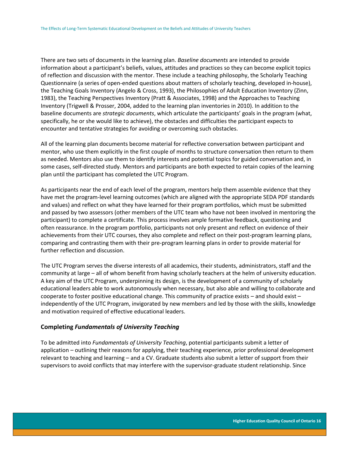There are two sets of documents in the learning plan. *Baseline documents* are intended to provide information about a participant's beliefs, values, attitudes and practices so they can become explicit topics of reflection and discussion with the mentor. These include a teaching philosophy, the Scholarly Teaching Questionnaire (a series of open-ended questions about matters of scholarly teaching, developed in-house), the Teaching Goals Inventory (Angelo & Cross, 1993), the Philosophies of Adult Education Inventory (Zinn, 1983), the Teaching Perspectives Inventory (Pratt & Associates, 1998) and the Approaches to Teaching Inventory (Trigwell & Prosser, 2004, added to the learning plan inventories in 2010). In addition to the baseline documents are *strategic documents*, which articulate the participants' goals in the program (what, specifically, he or she would like to achieve), the obstacles and difficulties the participant expects to encounter and tentative strategies for avoiding or overcoming such obstacles.

All of the learning plan documents become material for reflective conversation between participant and mentor, who use them explicitly in the first couple of months to structure conversation then return to them as needed. Mentors also use them to identify interests and potential topics for guided conversation and, in some cases, self-directed study. Mentors and participants are both expected to retain copies of the learning plan until the participant has completed the UTC Program.

As participants near the end of each level of the program, mentors help them assemble evidence that they have met the program-level learning outcomes (which are aligned with the appropriate SEDA PDF standards and values) and reflect on what they have learned for their program portfolios, which must be submitted and passed by two assessors (other members of the UTC team who have not been involved in mentoring the participant) to complete a certificate. This process involves ample formative feedback, questioning and often reassurance. In the program portfolio, participants not only present and reflect on evidence of their achievements from their UTC courses, they also complete and reflect on their post-program learning plans, comparing and contrasting them with their pre-program learning plans in order to provide material for further reflection and discussion.

The UTC Program serves the diverse interests of all academics, their students, administrators, staff and the community at large – all of whom benefit from having scholarly teachers at the helm of university education. A key aim of the UTC Program, underpinning its design, is the development of a community of scholarly educational leaders able to work autonomously when necessary, but also able and willing to collaborate and cooperate to foster positive educational change. This community of practice exists – and should exist – independently of the UTC Program, invigorated by new members and led by those with the skills, knowledge and motivation required of effective educational leaders.

### **Completing** *Fundamentals of University Teaching*

To be admitted into *Fundamentals of University Teaching*, potential participants submit a letter of application – outlining their reasons for applying, their teaching experience, prior professional development relevant to teaching and learning – and a CV. Graduate students also submit a letter of support from their supervisors to avoid conflicts that may interfere with the supervisor-graduate student relationship. Since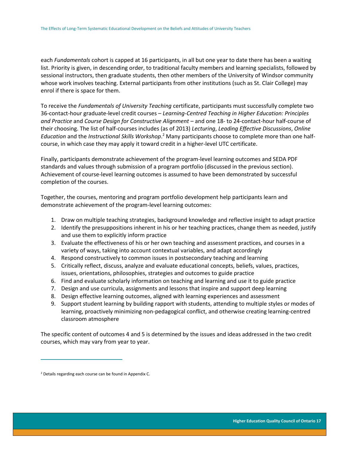each *Fundamentals* cohort is capped at 16 participants, in all but one year to date there has been a waiting list. Priority is given, in descending order, to traditional faculty members and learning specialists, followed by sessional instructors, then graduate students, then other members of the University of Windsor community whose work involves teaching. External participants from other institutions (such as St. Clair College) may enrol if there is space for them.

To receive the *Fundamentals of University Teaching* certificate, participants must successfully complete two 36-contact-hour graduate-level credit courses – *Learning-Centred Teaching in Higher Education: Principles and Practice* and *Course Design for Constructive Alignment* – and one 18- to 24-contact-hour half-course of their choosing. The list of half-courses includes (as of 2013) *Lecturing*, *Leading Effective Discussions*, *Online Education* and the *Instructional Skills Workshop*. <sup>2</sup> Many participants choose to complete more than one halfcourse, in which case they may apply it toward credit in a higher-level UTC certificate.

Finally, participants demonstrate achievement of the program-level learning outcomes and SEDA PDF standards and values through submission of a program portfolio (discussed in the previous section). Achievement of course-level learning outcomes is assumed to have been demonstrated by successful completion of the courses.

Together, the courses, mentoring and program portfolio development help participants learn and demonstrate achievement of the program-level learning outcomes:

- 1. Draw on multiple teaching strategies, background knowledge and reflective insight to adapt practice
- 2. Identify the presuppositions inherent in his or her teaching practices, change them as needed, justify and use them to explicitly inform practice
- 3. Evaluate the effectiveness of his or her own teaching and assessment practices, and courses in a variety of ways, taking into account contextual variables, and adapt accordingly
- 4. Respond constructively to common issues in postsecondary teaching and learning
- 5. Critically reflect, discuss, analyze and evaluate educational concepts, beliefs, values, practices, issues, orientations, philosophies, strategies and outcomes to guide practice
- 6. Find and evaluate scholarly information on teaching and learning and use it to guide practice
- 7. Design and use curricula, assignments and lessons that inspire and support deep learning
- 8. Design effective learning outcomes, aligned with learning experiences and assessment
- 9. Support student learning by building rapport with students, attending to multiple styles or modes of learning, proactively minimizing non-pedagogical conflict, and otherwise creating learning-centred classroom atmosphere

The specific content of outcomes 4 and 5 is determined by the issues and ideas addressed in the two credit courses, which may vary from year to year.

 $\overline{a}$ 

<sup>2</sup> Details regarding each course can be found in Appendix C.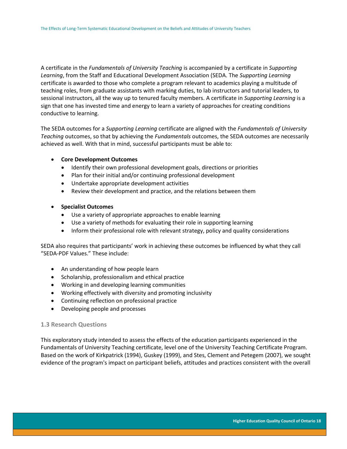A certificate in the *Fundamentals of University Teaching* is accompanied by a certificate in *Supporting Learning*, from the Staff and Educational Development Association (SEDA. The *Supporting Learning*  certificate is awarded to those who complete a program relevant to academics playing a multitude of teaching roles, from graduate assistants with marking duties, to lab instructors and tutorial leaders, to sessional instructors, all the way up to tenured faculty members. A certificate in *Supporting Learning* is a sign that one has invested time and energy to learn a variety of approaches for creating conditions conductive to learning.

The SEDA outcomes for a *Supporting Learning* certificate are aligned with the *Fundamentals of University Teaching* outcomes, so that by achieving the *Fundamentals* outcomes, the SEDA outcomes are necessarily achieved as well. With that in mind, successful participants must be able to:

#### **Core Development Outcomes**

- Identify their own professional development goals, directions or priorities
- Plan for their initial and/or continuing professional development
- Undertake appropriate development activities
- Review their development and practice, and the relations between them

### **Specialist Outcomes**

- Use a variety of appropriate approaches to enable learning
- Use a variety of methods for evaluating their role in supporting learning
- Inform their professional role with relevant strategy, policy and quality considerations

SEDA also requires that participants' work in achieving these outcomes be influenced by what they call "SEDA-PDF Values." These include:

- An understanding of how people learn
- Scholarship, professionalism and ethical practice
- Working in and developing learning communities
- Working effectively with diversity and promoting inclusivity
- Continuing reflection on professional practice
- Developing people and processes

### <span id="page-18-0"></span>**1.3 Research Questions**

This exploratory study intended to assess the effects of the education participants experienced in the Fundamentals of University Teaching certificate, level one of the University Teaching Certificate Program. Based on the work of Kirkpatrick (1994), Guskey (1999), and Stes, Clement and Petegem (2007), we sought evidence of the program's impact on participant beliefs, attitudes and practices consistent with the overall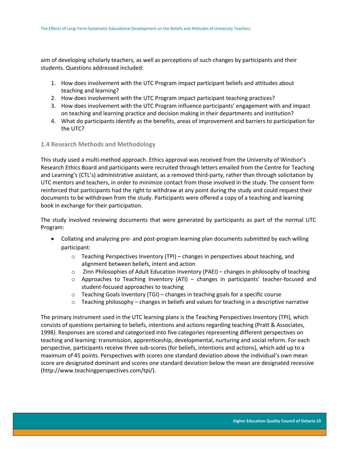aim of developing scholarly teachers, as well as perceptions of such changes by participants and their students. Questions addressed included:

- 1. How does involvement with the UTC Program impact participant beliefs and attitudes about teaching and learning?
- 2. How does involvement with the UTC Program impact participant teaching practices?
- 3. How does involvement with the UTC Program influence participants' engagement with and impact on teaching and learning practice and decision making in their departments and institution?
- 4. What do participants identify as the benefits, areas of improvement and barriers to participation for the UTC?

## <span id="page-19-0"></span>**1.4 Research Methods and Methodology**

This study used a multi-method approach. Ethics approval was received from the University of Windsor's Research Ethics Board and participants were recruited through letters emailed from the Centre for Teaching and Learning's (CTL's) administrative assistant, as a removed third-party, rather than through solicitation by UTC mentors and teachers, in order to minimize contact from those involved in the study. The consent form reinforced that participants had the right to withdraw at any point during the study and could request their documents to be withdrawn from the study. Participants were offered a copy of a teaching and learning book in exchange for their participation.

The study involved reviewing documents that were generated by participants as part of the normal UTC Program:

- Collating and analyzing pre- and post-program learning plan documents submitted by each willing participant:
	- $\circ$  Teaching Perspectives Inventory (TPI) changes in perspectives about teaching, and alignment between beliefs, intent and action
	- o Zinn Philosophies of Adult Education Inventory (PAEI) changes in philosophy of teaching
	- $\circ$  Approaches to Teaching Inventory (ATI) changes in participants' teacher-focused and student-focused approaches to teaching
	- $\circ$  Teaching Goals Inventory (TGI) changes in teaching goals for a specific course
	- $\circ$  Teaching philosophy changes in beliefs and values for teaching in a descriptive narrative

The primary instrument used in the UTC learning plans is the Teaching Perspectives Inventory (TPI), which consists of questions pertaining to beliefs, intentions and actions regarding teaching (Pratt & Associates, 1998). Responses are scored and categorized into five categories representing different perspectives on teaching and learning: transmission, apprenticeship, developmental, nurturing and social reform. For each perspective, participants receive three sub-scores (for beliefs, intentions and actions), which add up to a maximum of 45 points. Perspectives with scores one standard deviation above the individual's own mean score are designated dominant and scores one standard deviation below the mean are designated recessive (http://www.teachingperspectives.com/tpi/).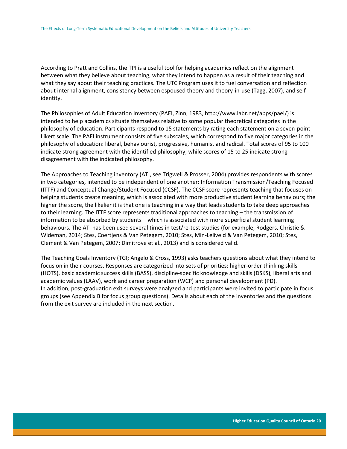According to Pratt and Collins, the TPI is a useful tool for helping academics reflect on the alignment between what they believe about teaching, what they intend to happen as a result of their teaching and what they say about their teaching practices. The UTC Program uses it to fuel conversation and reflection about internal alignment, consistency between espoused theory and theory-in-use (Tagg, 2007), and selfidentity.

The Philosophies of Adult Education Inventory (PAEI, Zinn, 1983, http://www.labr.net/apps/paei/) is intended to help academics situate themselves relative to some popular theoretical categories in the philosophy of education. Participants respond to 15 statements by rating each statement on a seven-point Likert scale. The PAEI instrument consists of five subscales, which correspond to five major categories in the philosophy of education: liberal, behaviourist, progressive, humanist and radical. Total scores of 95 to 100 indicate strong agreement with the identified philosophy, while scores of 15 to 25 indicate strong disagreement with the indicated philosophy.

The Approaches to Teaching inventory (ATI, see Trigwell & Prosser, 2004) provides respondents with scores in two categories, intended to be independent of one another: Information Transmission/Teaching Focused (ITTF) and Conceptual Change/Student Focused (CCSF). The CCSF score represents teaching that focuses on helping students create meaning, which is associated with more productive student learning behaviours; the higher the score, the likelier it is that one is teaching in a way that leads students to take deep approaches to their learning. The ITTF score represents traditional approaches to teaching – the transmission of information to be absorbed by students – which is associated with more superficial student learning behaviours. The ATI has been used several times in test/re-test studies (for example, Rodgers, Christie & Wideman, 2014; Stes, Coertjens & Van Petegem, 2010; Stes, Min-Leliveld & Van Petegem, 2010; Stes, Clement & Van Petegem, 2007; Dimitrove et al., 2013) and is considered valid.

The Teaching Goals Inventory (TGI; Angelo & Cross, 1993) asks teachers questions about what they intend to focus on in their courses. Responses are categorized into sets of priorities: higher-order thinking skills (HOTS), basic academic success skills (BASS), discipline-specific knowledge and skills (DSKS), liberal arts and academic values (LAAV), work and career preparation (WCP) and personal development (PD). In addition, post-graduation exit surveys were analyzed and participants were invited to participate in focus groups (see Appendix B for focus group questions). Details about each of the inventories and the questions from the exit survey are included in the next section.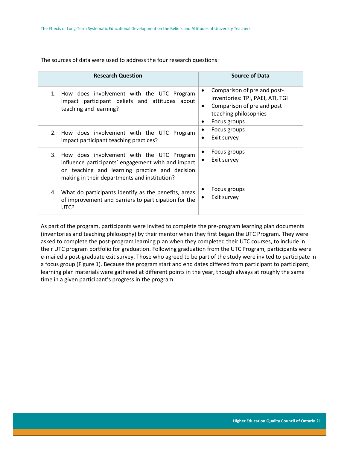The sources of data were used to address the four research questions:

| <b>Research Question</b>                                                                                                                                                                             | <b>Source of Data</b>                                                                                                                            |
|------------------------------------------------------------------------------------------------------------------------------------------------------------------------------------------------------|--------------------------------------------------------------------------------------------------------------------------------------------------|
| 1. How does involvement with the UTC Program<br>impact participant beliefs and attitudes about<br>teaching and learning?                                                                             | Comparison of pre and post-<br>inventories: TPI, PAEI, ATI, TGI<br>Comparison of pre and post<br>٠<br>teaching philosophies<br>Focus groups<br>٠ |
| 2. How does involvement with the UTC Program<br>impact participant teaching practices?                                                                                                               | Focus groups<br>Exit survey                                                                                                                      |
| 3. How does involvement with the UTC Program<br>influence participants' engagement with and impact<br>on teaching and learning practice and decision<br>making in their departments and institution? | Focus groups<br>Exit survey                                                                                                                      |
| What do participants identify as the benefits, areas<br>4.<br>of improvement and barriers to participation for the<br>UTC?                                                                           | Focus groups<br>Exit survey                                                                                                                      |

As part of the program, participants were invited to complete the pre-program learning plan documents (inventories and teaching philosophy) by their mentor when they first began the UTC Program. They were asked to complete the post-program learning plan when they completed their UTC courses, to include in their UTC program portfolio for graduation. Following graduation from the UTC Program, participants were e-mailed a post-graduate exit survey. Those who agreed to be part of the study were invited to participate in a focus group (Figure 1). Because the program start and end dates differed from participant to participant, learning plan materials were gathered at different points in the year, though always at roughly the same time in a given participant's progress in the program.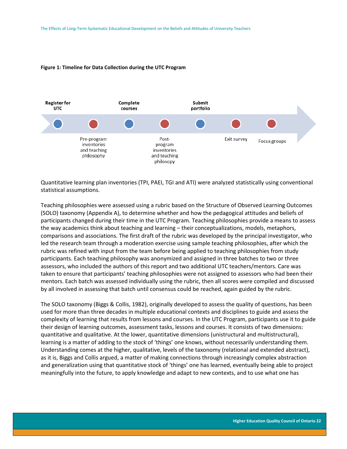

#### <span id="page-22-0"></span>**Figure 1: Timeline for Data Collection during the UTC Program**

Quantitative learning plan inventories (TPI, PAEI, TGI and ATI) were analyzed statistically using conventional statistical assumptions.

Teaching philosophies were assessed using a rubric based on the Structure of Observed Learning Outcomes (SOLO) taxonomy (Appendix A), to determine whether and how the pedagogical attitudes and beliefs of participants changed during their time in the UTC Program. Teaching philosophies provide a means to assess the way academics think about teaching and learning – their conceptualizations, models, metaphors, comparisons and associations. The first draft of the rubric was developed by the principal investigator, who led the research team through a moderation exercise using sample teaching philosophies, after which the rubric was refined with input from the team before being applied to teaching philosophies from study participants. Each teaching philosophy was anonymized and assigned in three batches to two or three assessors, who included the authors of this report and two additional UTC teachers/mentors. Care was taken to ensure that participants' teaching philosophies were not assigned to assessors who had been their mentors. Each batch was assessed individually using the rubric, then all scores were compiled and discussed by all involved in assessing that batch until consensus could be reached, again guided by the rubric.

The SOLO taxonomy (Biggs & Collis, 1982), originally developed to assess the quality of questions, has been used for more than three decades in multiple educational contexts and disciplines to guide and assess the complexity of learning that results from lessons and courses. In the UTC Program, participants use it to guide their design of learning outcomes, assessment tasks, lessons and courses. It consists of two dimensions: quantitative and qualitative. At the lower, quantitative dimensions (unistructural and multistructural), learning is a matter of adding to the stock of 'things' one knows, without necessarily understanding them. Understanding comes at the higher, qualitative, levels of the taxonomy (relational and extended abstract), as it is, Biggs and Collis argued, a matter of making connections through increasingly complex abstraction and generalization using that quantitative stock of 'things' one has learned, eventually being able to project meaningfully into the future, to apply knowledge and adapt to new contexts, and to use what one has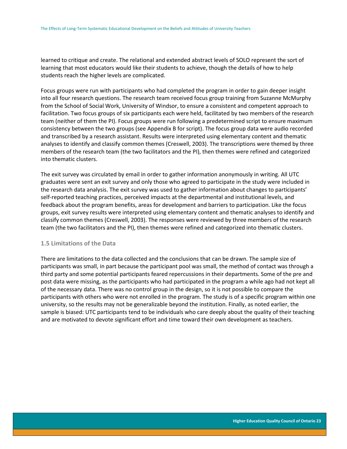learned to critique and create. The relational and extended abstract levels of SOLO represent the sort of learning that most educators would like their students to achieve, though the details of how to help students reach the higher levels are complicated.

Focus groups were run with participants who had completed the program in order to gain deeper insight into all four research questions. The research team received focus group training from Suzanne McMurphy from the School of Social Work, University of Windsor, to ensure a consistent and competent approach to facilitation. Two focus groups of six participants each were held, facilitated by two members of the research team (neither of them the PI). Focus groups were run following a predetermined script to ensure maximum consistency between the two groups (see Appendix B for script). The focus group data were audio recorded and transcribed by a research assistant. Results were interpreted using elementary content and thematic analyses to identify and classify common themes (Creswell, 2003). The transcriptions were themed by three members of the research team (the two facilitators and the PI), then themes were refined and categorized into thematic clusters.

The exit survey was circulated by email in order to gather information anonymously in writing. All UTC graduates were sent an exit survey and only those who agreed to participate in the study were included in the research data analysis. The exit survey was used to gather information about changes to participants' self-reported teaching practices, perceived impacts at the departmental and institutional levels, and feedback about the program benefits, areas for development and barriers to participation. Like the focus groups, exit survey results were interpreted using elementary content and thematic analyses to identify and classify common themes (Creswell, 2003). The responses were reviewed by three members of the research team (the two facilitators and the PI), then themes were refined and categorized into thematic clusters.

### <span id="page-23-0"></span>**1.5 Limitations of the Data**

There are limitations to the data collected and the conclusions that can be drawn. The sample size of participants was small, in part because the participant pool was small, the method of contact was through a third party and some potential participants feared repercussions in their departments. Some of the pre and post data were missing, as the participants who had participated in the program a while ago had not kept all of the necessary data. There was no control group in the design, so it is not possible to compare the participants with others who were not enrolled in the program. The study is of a specific program within one university, so the results may not be generalizable beyond the institution. Finally, as noted earlier, the sample is biased: UTC participants tend to be individuals who care deeply about the quality of their teaching and are motivated to devote significant effort and time toward their own development as teachers.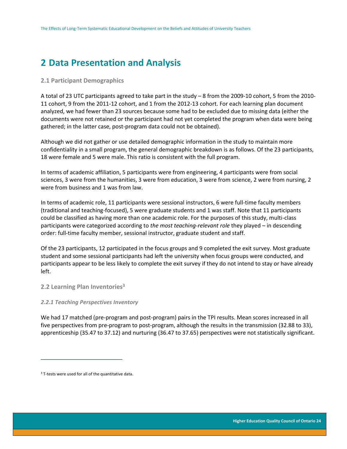# <span id="page-24-0"></span>**2 Data Presentation and Analysis**

#### <span id="page-24-1"></span>**2.1 Participant Demographics**

A total of 23 UTC participants agreed to take part in the study – 8 from the 2009-10 cohort, 5 from the 2010- 11 cohort, 9 from the 2011-12 cohort, and 1 from the 2012-13 cohort. For each learning plan document analyzed, we had fewer than 23 sources because some had to be excluded due to missing data (either the documents were not retained or the participant had not yet completed the program when data were being gathered; in the latter case, post-program data could not be obtained).

Although we did not gather or use detailed demographic information in the study to maintain more confidentiality in a small program, the general demographic breakdown is as follows. Of the 23 participants, 18 were female and 5 were male. This ratio is consistent with the full program.

In terms of academic affiliation, 5 participants were from engineering, 4 participants were from social sciences, 3 were from the humanities, 3 were from education, 3 were from science, 2 were from nursing, 2 were from business and 1 was from law.

In terms of academic role, 11 participants were sessional instructors, 6 were full-time faculty members (traditional and teaching-focused), 5 were graduate students and 1 was staff. Note that 11 participants could be classified as having more than one academic role. For the purposes of this study, multi-class participants were categorized according to *the most teaching-relevant role* they played – in descending order: full-time faculty member, sessional instructor, graduate student and staff.

Of the 23 participants, 12 participated in the focus groups and 9 completed the exit survey. Most graduate student and some sessional participants had left the university when focus groups were conducted, and participants appear to be less likely to complete the exit survey if they do not intend to stay or have already left.

### <span id="page-24-2"></span>**2.2 Learning Plan Inventories<sup>3</sup>**

#### <span id="page-24-3"></span>*2.2.1 Teaching Perspectives Inventory*

We had 17 matched (pre-program and post-program) pairs in the TPI results. Mean scores increased in all five perspectives from pre-program to post-program, although the results in the transmission (32.88 to 33), apprenticeship (35.47 to 37.12) and nurturing (36.47 to 37.65) perspectives were not statistically significant.

 $\overline{a}$ 

<sup>&</sup>lt;sup>3</sup> T-tests were used for all of the quantitative data.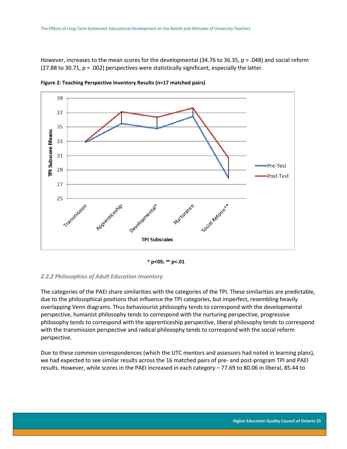However, increases to the mean scores for the developmental (34.76 to 36.35, p = .048) and social reform  $(27.88 \text{ to } 30.71, p = .002)$  perspectives were statistically significant, especially the latter.



<span id="page-25-1"></span>**Figure 2: Teaching Perspective Inventory Results (n=17 matched pairs)**



#### <span id="page-25-0"></span>*2.2.2 Philosophies of Adult Education Inventory*

The categories of the PAEI share similarities with the categories of the TPI. These similarities are predictable, due to the philosophical positions that influence the TPI categories, but imperfect, resembling heavily overlapping Venn diagrams. Thus behaviourist philosophy tends to correspond with the developmental perspective, humanist philosophy tends to correspond with the nurturing perspective, progressive philosophy tends to correspond with the apprenticeship perspective, liberal philosophy tends to correspond with the transmission perspective and radical philosophy tends to correspond with the social reform perspective.

Due to these common correspondences (which the UTC mentors and assessors had noted in learning plans), we had expected to see similar results across the 16 matched pairs of pre- and post-program TPI and PAEI results. However, while scores in the PAEI increased in each category – 77.69 to 80.06 in liberal, 85.44 to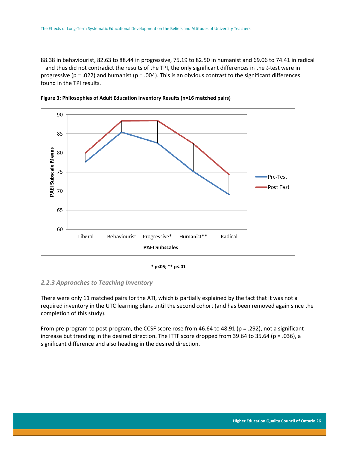88.38 in behaviourist, 82.63 to 88.44 in progressive, 75.19 to 82.50 in humanist and 69.06 to 74.41 in radical – and thus did not contradict the results of the TPI, the only significant differences in the *t*-test were in progressive ( $p = .022$ ) and humanist ( $p = .004$ ). This is an obvious contrast to the significant differences found in the TPI results.



<span id="page-26-1"></span>

**\* p<05; \*\* p<.01** 

### <span id="page-26-0"></span>*2.2.3 Approaches to Teaching Inventory*

There were only 11 matched pairs for the ATI, which is partially explained by the fact that it was not a required inventory in the UTC learning plans until the second cohort (and has been removed again since the completion of this study).

From pre-program to post-program, the CCSF score rose from 46.64 to 48.91 (p = .292), not a significant increase but trending in the desired direction. The ITTF score dropped from 39.64 to 35.64 (p = .036), a significant difference and also heading in the desired direction.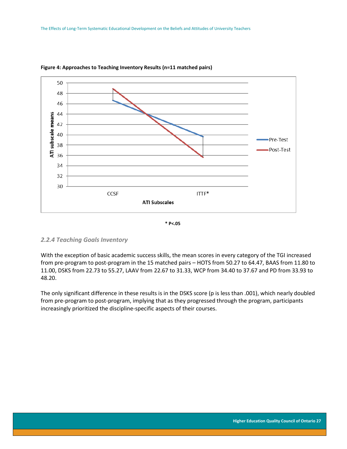

<span id="page-27-1"></span>



### <span id="page-27-0"></span>*2.2.4 Teaching Goals Inventory*

With the exception of basic academic success skills, the mean scores in every category of the TGI increased from pre-program to post-program in the 15 matched pairs – HOTS from 50.27 to 64.47, BAAS from 11.80 to 11.00, DSKS from 22.73 to 55.27, LAAV from 22.67 to 31.33, WCP from 34.40 to 37.67 and PD from 33.93 to 48.20.

The only significant difference in these results is in the DSKS score (p is less than .001), which nearly doubled from pre-program to post-program, implying that as they progressed through the program, participants increasingly prioritized the discipline-specific aspects of their courses.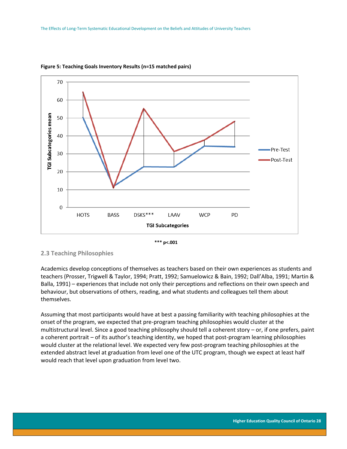

#### <span id="page-28-1"></span>**Figure 5: Teaching Goals Inventory Results (n=15 matched pairs)**



<span id="page-28-0"></span>**2.3 Teaching Philosophies**

Academics develop conceptions of themselves as teachers based on their own experiences as students and teachers (Prosser, Trigwell & Taylor, 1994; Pratt, 1992; Samuelowicz & Bain, 1992; Dall'Alba, 1991; Martin & Balla, 1991) – experiences that include not only their perceptions and reflections on their own speech and behaviour, but observations of others, reading, and what students and colleagues tell them about themselves.

<span id="page-28-2"></span>Assuming that most participants would have at best a passing familiarity with teaching philosophies at the onset of the program, we expected that pre-program teaching philosophies would cluster at the multistructural level. Since a good teaching philosophy should tell a coherent story – or, if one prefers, paint a coherent portrait – of its author's teaching identity, we hoped that post-program learning philosophies would cluster at the relational level. We expected very few post-program teaching philosophies at the extended abstract level at graduation from level one of the UTC program, though we expect at least half would reach that level upon graduation from level two.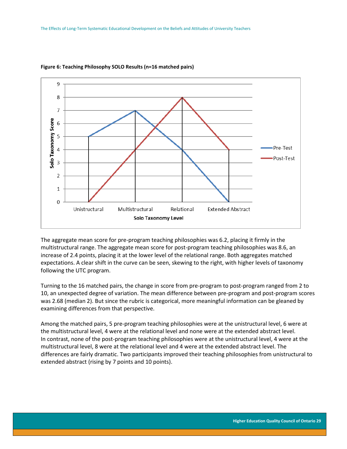

#### **Figure 6: Teaching Philosophy SOLO Results (n=16 matched pairs)**

The aggregate mean score for pre-program teaching philosophies was 6.2, placing it firmly in the multistructural range. The aggregate mean score for post-program teaching philosophies was 8.6, an increase of 2.4 points, placing it at the lower level of the relational range. Both aggregates matched expectations. A clear shift in the curve can be seen, skewing to the right, with higher levels of taxonomy following the UTC program.

Turning to the 16 matched pairs, the change in score from pre-program to post-program ranged from 2 to 10, an unexpected degree of variation. The mean difference between pre-program and post-program scores was 2.68 (median 2). But since the rubric is categorical, more meaningful information can be gleaned by examining differences from that perspective.

Among the matched pairs, 5 pre-program teaching philosophies were at the unistructural level, 6 were at the multistructural level, 4 were at the relational level and none were at the extended abstract level. In contrast, none of the post-program teaching philosophies were at the unistructural level, 4 were at the multistructural level, 8 were at the relational level and 4 were at the extended abstract level. The differences are fairly dramatic. Two participants improved their teaching philosophies from unistructural to extended abstract (rising by 7 points and 10 points).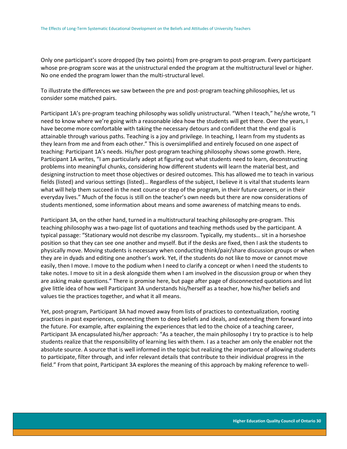Only one participant's score dropped (by two points) from pre-program to post-program. Every participant whose pre-program score was at the unistructural ended the program at the multistructural level or higher. No one ended the program lower than the multi-structural level.

To illustrate the differences we saw between the pre and post-program teaching philosophies, let us consider some matched pairs.

Participant 1A's pre-program teaching philosophy was solidly unistructural. "When I teach," he/she wrote, "I need to know where we're going with a reasonable idea how the students will get there. Over the years, I have become more comfortable with taking the necessary detours and confident that the end goal is attainable through various paths. Teaching is a joy and privilege. In teaching, I learn from my students as they learn from me and from each other." This is oversimplified and entirely focused on one aspect of teaching: Participant 1A's needs. His/her post-program teaching philosophy shows some growth. Here, Participant 1A writes, "I am particularly adept at figuring out what students need to learn, deconstructing problems into meaningful chunks, considering how different students will learn the material best, and designing instruction to meet those objectives or desired outcomes. This has allowed me to teach in various fields (listed) and various settings (listed)… Regardless of the subject, I believe it is vital that students learn what will help them succeed in the next course or step of the program, in their future careers, or in their everyday lives." Much of the focus is still on the teacher's own needs but there are now considerations of students mentioned, some information about means and some awareness of matching means to ends.

Participant 3A, on the other hand, turned in a multistructural teaching philosophy pre-program. This teaching philosophy was a two-page list of quotations and teaching methods used by the participant. A typical passage: "Stationary would not describe my classroom. Typically, my students… sit in a horseshoe position so that they can see one another and myself. But if the desks are fixed, then I ask the students to physically move. Moving students is necessary when conducting think/pair/share discussion groups or when they are in dyads and editing one another's work. Yet, if the students do not like to move or cannot move easily, then I move. I move to the podium when I need to clarify a concept or when I need the students to take notes. I move to sit in a desk alongside them when I am involved in the discussion group or when they are asking make questions." There is promise here, but page after page of disconnected quotations and list give little idea of how well Participant 3A understands his/herself as a teacher, how his/her beliefs and values tie the practices together, and what it all means.

Yet, post-program, Participant 3A had moved away from lists of practices to contextualization, rooting practices in past experiences, connecting them to deep beliefs and ideals, and extending them forward into the future. For example, after explaining the experiences that led to the choice of a teaching career, Participant 3A encapsulated his/her approach: "As a teacher, the main philosophy I try to practice is to help students realize that the responsibility of learning lies with them. I as a teacher am only the enabler not the absolute source. A source that is well informed in the topic but realizing the importance of allowing students to participate, filter through, and infer relevant details that contribute to their individual progress in the field." From that point, Participant 3A explores the meaning of this approach by making reference to well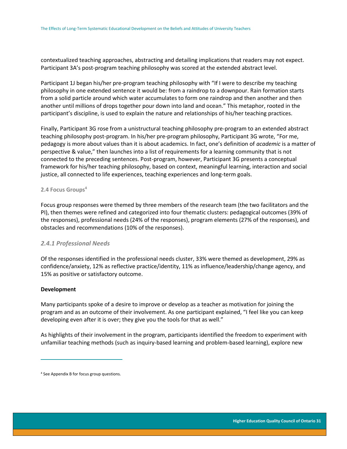contextualized teaching approaches, abstracting and detailing implications that readers may not expect. Participant 3A's post-program teaching philosophy was scored at the extended abstract level.

Participant 1J began his/her pre-program teaching philosophy with "If I were to describe my teaching philosophy in one extended sentence it would be: from a raindrop to a downpour. Rain formation starts from a solid particle around which water accumulates to form one raindrop and then another and then another until millions of drops together pour down into land and ocean." This metaphor, rooted in the participant's discipline, is used to explain the nature and relationships of his/her teaching practices.

Finally, Participant 3G rose from a unistructural teaching philosophy pre-program to an extended abstract teaching philosophy post-program. In his/her pre-program philosophy, Participant 3G wrote, "For me, pedagogy is more about values than it is about academics. In fact, one's definition of *academic* is a matter of perspective & value," then launches into a list of requirements for a learning community that is not connected to the preceding sentences. Post-program, however, Participant 3G presents a conceptual framework for his/her teaching philosophy, based on context, meaningful learning, interaction and social justice, all connected to life experiences, teaching experiences and long-term goals.

#### <span id="page-31-0"></span>**2.4 Focus Groups<sup>4</sup>**

Focus group responses were themed by three members of the research team (the two facilitators and the PI), then themes were refined and categorized into four thematic clusters: pedagogical outcomes (39% of the responses), professional needs (24% of the responses), program elements (27% of the responses), and obstacles and recommendations (10% of the responses).

### <span id="page-31-1"></span>*2.4.1 Professional Needs*

Of the responses identified in the professional needs cluster, 33% were themed as development, 29% as confidence/anxiety, 12% as reflective practice/identity, 11% as influence/leadership/change agency, and 15% as positive or satisfactory outcome.

#### **Development**

 $\overline{a}$ 

Many participants spoke of a desire to improve or develop as a teacher as motivation for joining the program and as an outcome of their involvement. As one participant explained, "I feel like you can keep developing even after it is over; they give you the tools for that as well."

As highlights of their involvement in the program, participants identified the freedom to experiment with unfamiliar teaching methods (such as inquiry-based learning and problem-based learning), explore new

<sup>4</sup> See Appendix B for focus group questions.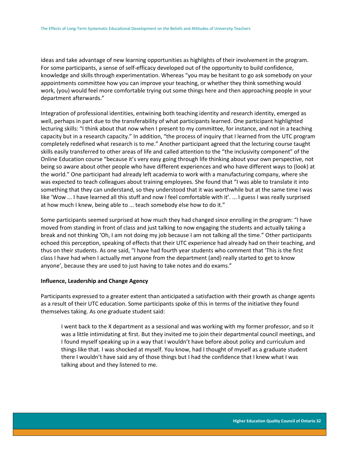ideas and take advantage of new learning opportunities as highlights of their involvement in the program. For some participants, a sense of self-efficacy developed out of the opportunity to build confidence, knowledge and skills through experimentation. Whereas "you may be hesitant to go ask somebody on your appointments committee how you can improve your teaching, or whether they think something would work, (you) would feel more comfortable trying out some things here and then approaching people in your department afterwards."

Integration of professional identities, entwining both teaching identity and research identity, emerged as well, perhaps in part due to the transferability of what participants learned. One participant highlighted lecturing skills: "I think about that now when I present to my committee, for instance, and not in a teaching capacity but in a research capacity." In addition, "the process of inquiry that I learned from the UTC program completely redefined what research is to me." Another participant agreed that the lecturing course taught skills easily transferred to other areas of life and called attention to the "the inclusivity component" of the Online Education course "because it's very easy going through life thinking about your own perspective, not being so aware about other people who have different experiences and who have different ways to (look) at the world." One participant had already left academia to work with a manufacturing company, where she was expected to teach colleagues about training employees. She found that "I was able to translate it into something that they can understand, so they understood that it was worthwhile but at the same time I was like 'Wow ... I have learned all this stuff and now I feel comfortable with it'. ... I guess I was really surprised at how much I knew, being able to ... teach somebody else how to do it."

Some participants seemed surprised at how much they had changed since enrolling in the program: "I have moved from standing in front of class and just talking to now engaging the students and actually taking a break and not thinking 'Oh, I am not doing my job because I am not talking all the time." Other participants echoed this perception, speaking of effects that their UTC experience had already had on their teaching, and thus on their students. As one said, "I have had fourth year students who comment that 'This is the first class I have had when I actually met anyone from the department (and) really started to get to know anyone', because they are used to just having to take notes and do exams."

#### **Influence, Leadership and Change Agency**

Participants expressed to a greater extent than anticipated a satisfaction with their growth as change agents as a result of their UTC education. Some participants spoke of this in terms of the initiative they found themselves taking. As one graduate student said:

I went back to the X department as a sessional and was working with my former professor, and so it was a little intimidating at first. But they invited me to join their departmental council meetings, and I found myself speaking up in a way that I wouldn't have before about policy and curriculum and things like that. I was shocked at myself. You know, had I thought of myself as a graduate student there I wouldn't have said any of those things but I had the confidence that I knew what I was talking about and they listened to me.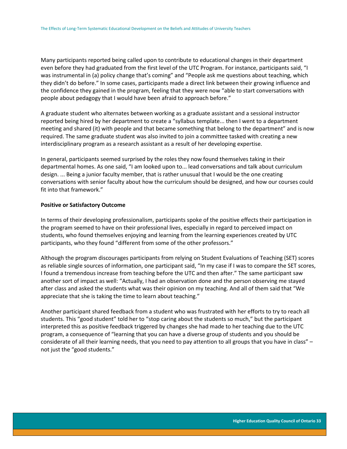Many participants reported being called upon to contribute to educational changes in their department even before they had graduated from the first level of the UTC Program. For instance, participants said, "I was instrumental in (a) policy change that's coming" and "People ask me questions about teaching, which they didn't do before." In some cases, participants made a direct link between their growing influence and the confidence they gained in the program, feeling that they were now "able to start conversations with people about pedagogy that I would have been afraid to approach before."

A graduate student who alternates between working as a graduate assistant and a sessional instructor reported being hired by her department to create a "syllabus template... then I went to a department meeting and shared (it) with people and that became something that belong to the department" and is now required. The same graduate student was also invited to join a committee tasked with creating a new interdisciplinary program as a research assistant as a result of her developing expertise.

In general, participants seemed surprised by the roles they now found themselves taking in their departmental homes. As one said, "I am looked upon to... lead conversations and talk about curriculum design. ... Being a junior faculty member, that is rather unusual that I would be the one creating conversations with senior faculty about how the curriculum should be designed, and how our courses could fit into that framework."

#### **Positive or Satisfactory Outcome**

In terms of their developing professionalism, participants spoke of the positive effects their participation in the program seemed to have on their professional lives, especially in regard to perceived impact on students, who found themselves enjoying and learning from the learning experiences created by UTC participants, who they found "different from some of the other professors."

Although the program discourages participants from relying on Student Evaluations of Teaching (SET) scores as reliable single sources of information, one participant said, "In my case if I was to compare the SET scores, I found a tremendous increase from teaching before the UTC and then after." The same participant saw another sort of impact as well: "Actually, I had an observation done and the person observing me stayed after class and asked the students what was their opinion on my teaching. And all of them said that "We appreciate that she is taking the time to learn about teaching."

Another participant shared feedback from a student who was frustrated with her efforts to try to reach all students. This "good student" told her to "stop caring about the students so much," but the participant interpreted this as positive feedback triggered by changes she had made to her teaching due to the UTC program, a consequence of "learning that you can have a diverse group of students and you should be considerate of all their learning needs, that you need to pay attention to all groups that you have in class" – not just the "good students."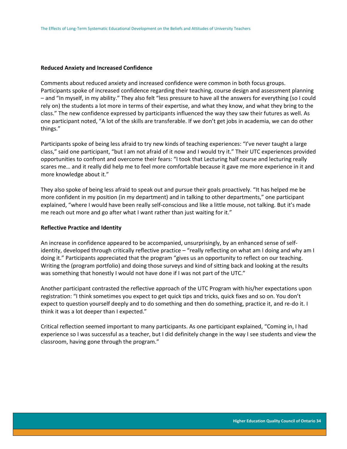#### **Reduced Anxiety and Increased Confidence**

Comments about reduced anxiety and increased confidence were common in both focus groups. Participants spoke of increased confidence regarding their teaching, course design and assessment planning – and "In myself, in my ability." They also felt "less pressure to have all the answers for everything (so I could rely on) the students a lot more in terms of their expertise, and what they know, and what they bring to the class." The new confidence expressed by participants influenced the way they saw their futures as well. As one participant noted, "A lot of the skills are transferable. If we don't get jobs in academia, we can do other things."

Participants spoke of being less afraid to try new kinds of teaching experiences: "I've never taught a large class," said one participant, "but I am not afraid of it now and I would try it." Their UTC experiences provided opportunities to confront and overcome their fears: "I took that Lecturing half course and lecturing really scares me… and it really did help me to feel more comfortable because it gave me more experience in it and more knowledge about it."

They also spoke of being less afraid to speak out and pursue their goals proactively. "It has helped me be more confident in my position (in my department) and in talking to other departments," one participant explained, "where I would have been really self-conscious and like a little mouse, not talking. But it's made me reach out more and go after what I want rather than just waiting for it."

#### **Reflective Practice and Identity**

An increase in confidence appeared to be accompanied, unsurprisingly, by an enhanced sense of selfidentity, developed through critically reflective practice – "really reflecting on what am I doing and why am I doing it." Participants appreciated that the program "gives us an opportunity to reflect on our teaching. Writing the (program portfolio) and doing those surveys and kind of sitting back and looking at the results was something that honestly I would not have done if I was not part of the UTC."

Another participant contrasted the reflective approach of the UTC Program with his/her expectations upon registration: "I think sometimes you expect to get quick tips and tricks, quick fixes and so on. You don't expect to question yourself deeply and to do something and then do something, practice it, and re-do it. I think it was a lot deeper than I expected."

<span id="page-34-0"></span>Critical reflection seemed important to many participants. As one participant explained, "Coming in, I had experience so I was successful as a teacher, but I did definitely change in the way I see students and view the classroom, having gone through the program."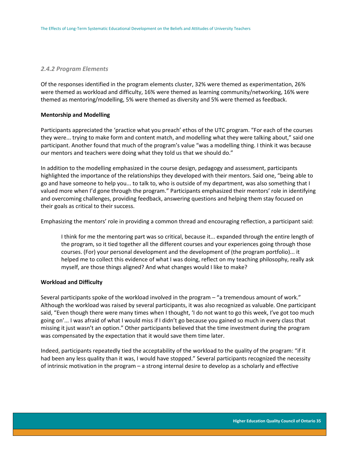#### *2.4.2 Program Elements*

Of the responses identified in the program elements cluster, 32% were themed as experimentation, 26% were themed as workload and difficulty, 16% were themed as learning community/networking, 16% were themed as mentoring/modelling, 5% were themed as diversity and 5% were themed as feedback.

#### **Mentorship and Modelling**

Participants appreciated the 'practice what you preach' ethos of the UTC program. "For each of the courses they were... trying to make form and content match, and modelling what they were talking about," said one participant. Another found that much of the program's value "was a modelling thing. I think it was because our mentors and teachers were doing what they told us that we should do."

In addition to the modelling emphasized in the course design, pedagogy and assessment, participants highlighted the importance of the relationships they developed with their mentors. Said one, "being able to go and have someone to help you... to talk to, who is outside of my department, was also something that I valued more when I'd gone through the program." Participants emphasized their mentors' role in identifying and overcoming challenges, providing feedback, answering questions and helping them stay focused on their goals as critical to their success.

Emphasizing the mentors' role in providing a common thread and encouraging reflection, a participant said:

I think for me the mentoring part was so critical, because it... expanded through the entire length of the program, so it tied together all the different courses and your experiences going through those courses. (For) your personal development and the development of (the program portfolio)... it helped me to collect this evidence of what I was doing, reflect on my teaching philosophy, really ask myself, are those things aligned? And what changes would I like to make?

#### **Workload and Difficulty**

Several participants spoke of the workload involved in the program – "a tremendous amount of work." Although the workload was raised by several participants, it was also recognized as valuable. One participant said, "Even though there were many times when I thought, 'I do not want to go this week, I've got too much going on'... I was afraid of what I would miss if I didn't go because you gained so much in every class that missing it just wasn't an option." Other participants believed that the time investment during the program was compensated by the expectation that it would save them time later.

Indeed, participants repeatedly tied the acceptability of the workload to the quality of the program: "if it had been any less quality than it was, I would have stopped." Several participants recognized the necessity of intrinsic motivation in the program – a strong internal desire to develop as a scholarly and effective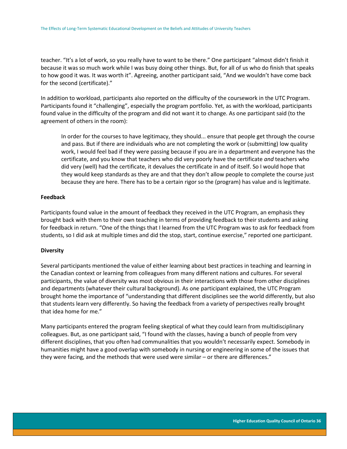teacher. "It's a lot of work, so you really have to want to be there." One participant "almost didn't finish it because it was so much work while I was busy doing other things. But, for all of us who do finish that speaks to how good it was. It was worth it". Agreeing, another participant said, "And we wouldn't have come back for the second (certificate)."

In addition to workload, participants also reported on the difficulty of the coursework in the UTC Program. Participants found it "challenging", especially the program portfolio. Yet, as with the workload, participants found value in the difficulty of the program and did not want it to change. As one participant said (to the agreement of others in the room):

In order for the courses to have legitimacy, they should... ensure that people get through the course and pass. But if there are individuals who are not completing the work or (submitting) low quality work, I would feel bad if they were passing because if you are in a department and everyone has the certificate, and you know that teachers who did very poorly have the certificate *and* teachers who did very (well) had the certificate, it devalues the certificate in and of itself. So I would hope that they would keep standards as they are and that they don't allow people to complete the course just because they are here. There has to be a certain rigor so the (program) has value and is legitimate.

#### **Feedback**

Participants found value in the amount of feedback they received in the UTC Program, an emphasis they brought back with them to their own teaching in terms of providing feedback to their students and asking for feedback in return. "One of the things that I learned from the UTC Program was to ask for feedback from students, so I did ask at multiple times and did the stop, start, continue exercise," reported one participant.

#### **Diversity**

Several participants mentioned the value of either learning about best practices in teaching and learning in the Canadian context or learning from colleagues from many different nations and cultures. For several participants, the value of diversity was most obvious in their interactions with those from other disciplines and departments (whatever their cultural background). As one participant explained, the UTC Program brought home the importance of "understanding that different disciplines see the world differently, but also that students learn very differently. So having the feedback from a variety of perspectives really brought that idea home for me."

Many participants entered the program feeling skeptical of what they could learn from multidisciplinary colleagues. But, as one participant said, "I found with the classes, having a bunch of people from very different disciplines, that you often had communalities that you wouldn't necessarily expect. Somebody in humanities might have a good overlap with somebody in nursing or engineering in some of the issues that they were facing, and the methods that were used were similar – or there are differences."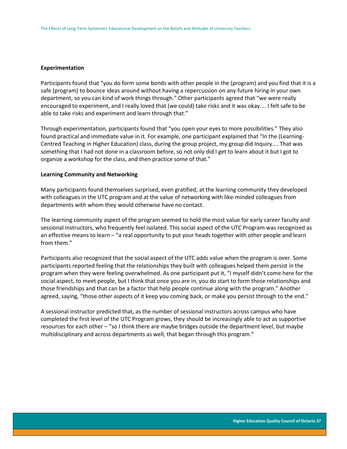#### **Experimentation**

Participants found that "you do form some bonds with other people in the (program) and you find that it is a safe (program) to bounce ideas around without having a repercussion on any future hiring in your own department, so you can kind of work things through." Other participants agreed that "we were really encouraged to experiment, and I really loved that (we could) take risks and it was okay.... I felt safe to be able to take risks and experiment and learn through that."

Through experimentation, participants found that "you open your eyes to more possibilities." They also found practical and immediate value in it. For example, one participant explained that "In the (Learning-Centred Teaching in Higher Education) class, during the group project, my group did Inquiry.... That was something that I had not done in a classroom before, so not only did I get to learn about it but I got to organize a workshop for the class, and then practice some of that."

#### **Learning Community and Networking**

Many participants found themselves surprised, even gratified, at the learning community they developed with colleagues in the UTC program and at the value of networking with like-minded colleagues from departments with whom they would otherwise have no contact.

The learning community aspect of the program seemed to hold the most value for early career faculty and sessional instructors, who frequently feel isolated. This social aspect of the UTC Program was recognized as an effective means to learn – "a real opportunity to put your heads together with other people and learn from them."

Participants also recognized that the social aspect of the UTC adds value when the program is over. Some participants reported feeling that the relationships they built with colleagues helped them persist in the program when they were feeling overwhelmed. As one participant put it, "I myself didn't come here for the social aspect, to meet people, but I think that once you are in, you do start to form those relationships and those friendships and that can be a factor that help people continue along with the program." Another agreed, saying, "those other aspects of it keep you coming back, or make you persist through to the end."

A sessional instructor predicted that, as the number of sessional instructors across campus who have completed the first level of the UTC Program grows, they should be increasingly able to act as supportive resources for each other – "so I think there are maybe bridges outside the department level, but maybe multidisciplinary and across departments as well, that began through this program."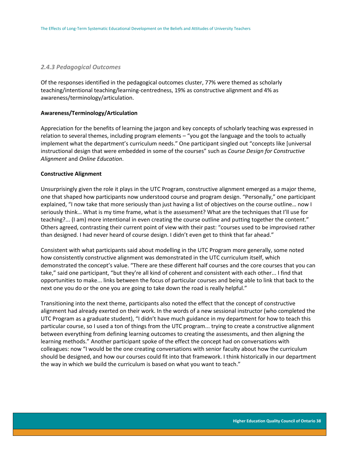#### <span id="page-38-0"></span>*2.4.3 Pedagogical Outcomes*

Of the responses identified in the pedagogical outcomes cluster, 77% were themed as scholarly teaching/intentional teaching/learning-centredness, 19% as constructive alignment and 4% as awareness/terminology/articulation.

#### **Awareness/Terminology/Articulation**

Appreciation for the benefits of learning the jargon and key concepts of scholarly teaching was expressed in relation to several themes, including program elements – "you got the language and the tools to actually implement what the department's curriculum needs." One participant singled out "concepts like [universal instructional design that were embedded in some of the courses" such as *Course Design for Constructive Alignment* and *Online Education*.

#### **Constructive Alignment**

Unsurprisingly given the role it plays in the UTC Program, constructive alignment emerged as a major theme, one that shaped how participants now understood course and program design. "Personally," one participant explained, "I now take that more seriously than just having a list of objectives on the course outline… now I seriously think… What is my time frame, what is the assessment? What are the techniques that I'll use for teaching?... (I am) more intentional in even creating the course outline and putting together the content." Others agreed, contrasting their current point of view with their past: "courses used to be improvised rather than designed. I had never heard of course design. I didn't even get to think that far ahead."

Consistent with what participants said about modelling in the UTC Program more generally, some noted how consistently constructive alignment was demonstrated in the UTC curriculum itself, which demonstrated the concept's value. "There are these different half courses and the core courses that you can take," said one participant, "but they're all kind of coherent and consistent with each other... I find that opportunities to make... links between the focus of particular courses and being able to link that back to the next one you do or the one you are going to take down the road is really helpful."

Transitioning into the next theme, participants also noted the effect that the concept of constructive alignment had already exerted on their work. In the words of a new sessional instructor (who completed the UTC Program as a graduate student), "I didn't have much guidance in my department for how to teach this particular course, so I used a ton of things from the UTC program... trying to create a constructive alignment between everything from defining learning outcomes to creating the assessments, and then aligning the learning methods." Another participant spoke of the effect the concept had on conversations with colleagues: now "I would be the one creating conversations with senior faculty about how the curriculum should be designed, and how our courses could fit into that framework. I think historically in our department the way in which we build the curriculum is based on what you want to teach."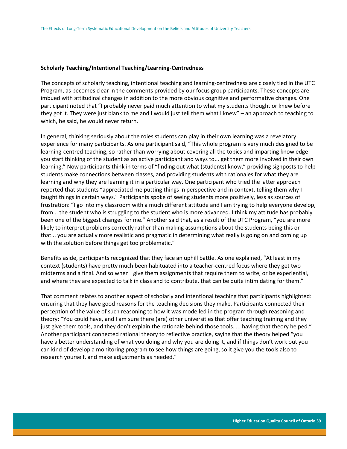#### **Scholarly Teaching/Intentional Teaching/Learning-Centredness**

The concepts of scholarly teaching, intentional teaching and learning-centredness are closely tied in the UTC Program, as becomes clear in the comments provided by our focus group participants. These concepts are imbued with attitudinal changes in addition to the more obvious cognitive and performative changes. One participant noted that "I probably never paid much attention to what my students thought or knew before they got it. They were just blank to me and I would just tell them what I knew" – an approach to teaching to which, he said, he would never return.

In general, thinking seriously about the roles students can play in their own learning was a revelatory experience for many participants. As one participant said, "This whole program is very much designed to be learning-centred teaching, so rather than worrying about covering all the topics and imparting knowledge you start thinking of the student as an active participant and ways to... get them more involved in their own learning." Now participants think in terms of "finding out what (students) know," providing signposts to help students make connections between classes, and providing students with rationales for what they are learning and why they are learning it in a particular way. One participant who tried the latter approach reported that students "appreciated me putting things in perspective and in context, telling them why I taught things in certain ways." Participants spoke of seeing students more positively, less as sources of frustration: "I go into my classroom with a much different attitude and I am trying to help everyone develop, from... the student who is struggling to the student who is more advanced. I think my attitude has probably been one of the biggest changes for me." Another said that, as a result of the UTC Program, "you are more likely to interpret problems correctly rather than making assumptions about the students being this or that... you are actually more realistic and pragmatic in determining what really is going on and coming up with the solution before things get too problematic."

Benefits aside, participants recognized that they face an uphill battle. As one explained, "At least in my context (students) have pretty much been habituated into a teacher-centred focus where they get two midterms and a final. And so when I give them assignments that require them to write, or be experiential, and where they are expected to talk in class and to contribute, that can be quite intimidating for them."

That comment relates to another aspect of scholarly and intentional teaching that participants highlighted: ensuring that they have good reasons for the teaching decisions they make. Participants connected their perception of the value of such reasoning to how it was modelled in the program through reasoning and theory: "You could have, and I am sure there (are) other universities that offer teaching training and they just give them tools, and they don't explain the rationale behind those tools. ... having that theory helped." Another participant connected rational theory to reflective practice, saying that the theory helped "you have a better understanding of what you doing and why you are doing it, and if things don't work out you can kind of develop a monitoring program to see how things are going, so it give you the tools also to research yourself, and make adjustments as needed."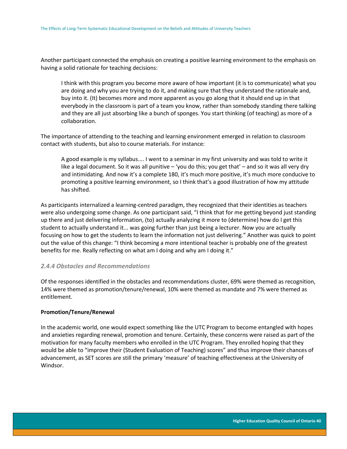Another participant connected the emphasis on creating a positive learning environment to the emphasis on having a solid rationale for teaching decisions:

I think with this program you become more aware of how important (it is to communicate) what you are doing and why you are trying to do it, and making sure that they understand the rationale and, buy into it. (It) becomes more and more apparent as you go along that it should end up in that everybody in the classroom is part of a team you know, rather than somebody standing there talking and they are all just absorbing like a bunch of sponges. You start thinking (of teaching) as more of a collaboration.

The importance of attending to the teaching and learning environment emerged in relation to classroom contact with students, but also to course materials. For instance:

A good example is my syllabus.... I went to a seminar in my first university and was told to write it like a legal document. So it was all punitive – 'you do this; you get that' – and so it was all very dry and intimidating. And now it's a complete 180, it's much more positive, it's much more conducive to promoting a positive learning environment, so I think that's a good illustration of how my attitude has shifted.

As participants internalized a learning-centred paradigm, they recognized that their identities as teachers were also undergoing some change. As one participant said, "I think that for me getting beyond just standing up there and just delivering information, (to) actually analyzing it more to (determine) how do I get this student to actually understand it... was going further than just being a lecturer. Now you are actually focusing on how to get the students to learn the information not just delivering." Another was quick to point out the value of this change: "I think becoming a more intentional teacher is probably one of the greatest benefits for me. Really reflecting on what am I doing and why am I doing it."

### <span id="page-40-0"></span>*2.4.4 Obstacles and Recommendations*

Of the responses identified in the obstacles and recommendations cluster, 69% were themed as recognition, 14% were themed as promotion/tenure/renewal, 10% were themed as mandate and 7% were themed as entitlement.

### **Promotion/Tenure/Renewal**

In the academic world, one would expect something like the UTC Program to become entangled with hopes and anxieties regarding renewal, promotion and tenure. Certainly, these concerns were raised as part of the motivation for many faculty members who enrolled in the UTC Program. They enrolled hoping that they would be able to "improve their (Student Evaluation of Teaching) scores" and thus improve their chances of advancement, as SET scores are still the primary 'measure' of teaching effectiveness at the University of Windsor.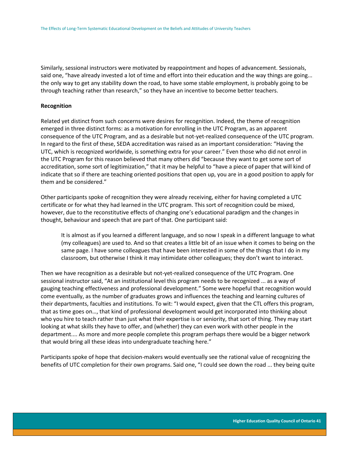Similarly, sessional instructors were motivated by reappointment and hopes of advancement. Sessionals, said one, "have already invested a lot of time and effort into their education and the way things are going... the only way to get any stability down the road, to have some stable employment, is probably going to be through teaching rather than research," so they have an incentive to become better teachers.

#### **Recognition**

Related yet distinct from such concerns were desires for recognition. Indeed, the theme of recognition emerged in three distinct forms: as a motivation for enrolling in the UTC Program, as an apparent consequence of the UTC Program, and as a desirable but not-yet-realized consequence of the UTC program. In regard to the first of these, SEDA accreditation was raised as an important consideration: "Having the UTC, which is recognized worldwide, is something extra for your career." Even those who did not enrol in the UTC Program for this reason believed that many others did "because they want to get some sort of accreditation, some sort of legitimization," that it may be helpful to "have a piece of paper that will kind of indicate that so if there are teaching oriented positions that open up, you are in a good position to apply for them and be considered."

Other participants spoke of recognition they were already receiving, either for having completed a UTC certificate or for what they had learned in the UTC program. This sort of recognition could be mixed, however, due to the reconstitutive effects of changing one's educational paradigm and the changes in thought, behaviour and speech that are part of that. One participant said:

It is almost as if you learned a different language, and so now I speak in a different language to what (my colleagues) are used to. And so that creates a little bit of an issue when it comes to being on the same page. I have some colleagues that have been interested in some of the things that I do in my classroom, but otherwise I think it may intimidate other colleagues; they don't want to interact.

Then we have recognition as a desirable but not-yet-realized consequence of the UTC Program. One sessional instructor said, "At an institutional level this program needs to be recognized ... as a way of gauging teaching effectiveness and professional development." Some were hopeful that recognition would come eventually, as the number of graduates grows and influences the teaching and learning cultures of their departments, faculties and institutions. To wit: "I would expect, given that the CTL offers this program, that as time goes on…, that kind of professional development would get incorporated into thinking about who you hire to teach rather than just what their expertise is or seniority, that sort of thing. They may start looking at what skills they have to offer, and (whether) they can even work with other people in the department.... As more and more people complete this program perhaps there would be a bigger network that would bring all these ideas into undergraduate teaching here."

Participants spoke of hope that decision-makers would eventually see the rational value of recognizing the benefits of UTC completion for their own programs. Said one, "I could see down the road ... they being quite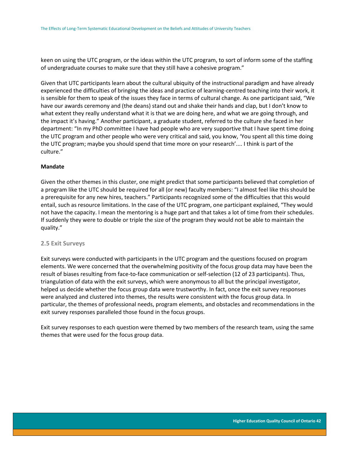keen on using the UTC program, or the ideas within the UTC program, to sort of inform some of the staffing of undergraduate courses to make sure that they still have a cohesive program."

Given that UTC participants learn about the cultural ubiquity of the instructional paradigm and have already experienced the difficulties of bringing the ideas and practice of learning-centred teaching into their work, it is sensible for them to speak of the issues they face in terms of cultural change. As one participant said, "We have our awards ceremony and (the deans) stand out and shake their hands and clap, but I don't know to what extent they really understand what it is that we are doing here, and what we are going through, and the impact it's having." Another participant, a graduate student, referred to the culture she faced in her department: "In my PhD committee I have had people who are very supportive that I have spent time doing the UTC program and other people who were very critical and said, you know, 'You spent all this time doing the UTC program; maybe you should spend that time more on your research'.... I think is part of the culture."

#### **Mandate**

Given the other themes in this cluster, one might predict that some participants believed that completion of a program like the UTC should be required for all (or new) faculty members: "I almost feel like this should be a prerequisite for any new hires, teachers." Participants recognized some of the difficulties that this would entail, such as resource limitations. In the case of the UTC program, one participant explained, "They would not have the capacity. I mean the mentoring is a huge part and that takes a lot of time from their schedules. If suddenly they were to double or triple the size of the program they would not be able to maintain the quality."

#### <span id="page-42-0"></span>**2.5 Exit Surveys**

Exit surveys were conducted with participants in the UTC program and the questions focused on program elements. We were concerned that the overwhelming positivity of the focus group data may have been the result of biases resulting from face-to-face communication or self-selection (12 of 23 participants). Thus, triangulation of data with the exit surveys, which were anonymous to all but the principal investigator, helped us decide whether the focus group data were trustworthy. In fact, once the exit survey responses were analyzed and clustered into themes, the results were consistent with the focus group data. In particular, the themes of professional needs, program elements, and obstacles and recommendations in the exit survey responses paralleled those found in the focus groups.

Exit survey responses to each question were themed by two members of the research team, using the same themes that were used for the focus group data.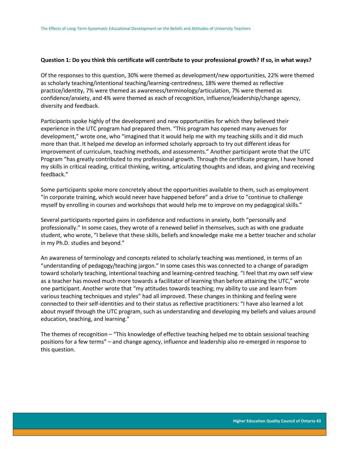#### **Question 1: Do you think this certificate will contribute to your professional growth? If so, in what ways?**

Of the responses to this question, 30% were themed as development/new opportunities, 22% were themed as scholarly teaching/intentional teaching/learning-centredness, 18% were themed as reflective practice/identity, 7% were themed as awareness/terminology/articulation, 7% were themed as confidence/anxiety, and 4% were themed as each of recognition, influence/leadership/change agency, diversity and feedback.

Participants spoke highly of the development and new opportunities for which they believed their experience in the UTC program had prepared them. "This program has opened many avenues for development," wrote one, who "imagined that it would help me with my teaching skills and it did much more than that. It helped me develop an informed scholarly approach to try out different ideas for improvement of curriculum, teaching methods, and assessments." Another participant wrote that the UTC Program "has greatly contributed to my professional growth. Through the certificate program, I have honed my skills in critical reading, critical thinking, writing, articulating thoughts and ideas, and giving and receiving feedback."

Some participants spoke more concretely about the opportunities available to them, such as employment "in corporate training, which would never have happened before" and a drive to "continue to challenge myself by enrolling in courses and workshops that would help me to improve on my pedagogical skills."

Several participants reported gains in confidence and reductions in anxiety, both "personally and professionally." In some cases, they wrote of a renewed belief in themselves, such as with one graduate student, who wrote, "I believe that these skills, beliefs and knowledge make me a better teacher and scholar in my Ph.D. studies and beyond."

An awareness of terminology and concepts related to scholarly teaching was mentioned, in terms of an "understanding of pedagogy/teaching jargon." In some cases this was connected to a change of paradigm toward scholarly teaching, intentional teaching and learning-centred teaching. "I feel that my own self view as a teacher has moved much more towards a facilitator of learning than before attaining the UTC," wrote one participant. Another wrote that "my attitudes towards teaching; my ability to use and learn from various teaching techniques and styles" had all improved. These changes in thinking and feeling were connected to their self-identities and to their status as reflective practitioners: "I have also learned a lot about myself through the UTC program, such as understanding and developing my beliefs and values around education, teaching, and learning."

The themes of recognition – "This knowledge of effective teaching helped me to obtain sessional teaching positions for a few terms" – and change agency, influence and leadership also re-emerged in response to this question.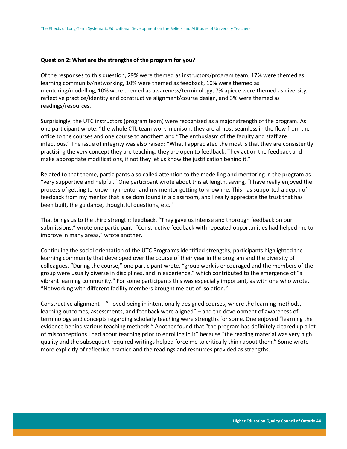#### **Question 2: What are the strengths of the program for you?**

Of the responses to this question, 29% were themed as instructors/program team, 17% were themed as learning community/networking, 10% were themed as feedback, 10% were themed as mentoring/modelling, 10% were themed as awareness/terminology, 7% apiece were themed as diversity, reflective practice/identity and constructive alignment/course design, and 3% were themed as readings/resources.

Surprisingly, the UTC instructors (program team) were recognized as a major strength of the program. As one participant wrote, "the whole CTL team work in unison, they are almost seamless in the flow from the office to the courses and one course to another" and "The enthusiasm of the faculty and staff are infectious." The issue of integrity was also raised: "What I appreciated the most is that they are consistently practising the very concept they are teaching, they are open to feedback. They act on the feedback and make appropriate modifications, if not they let us know the justification behind it."

Related to that theme, participants also called attention to the modelling and mentoring in the program as "very supportive and helpful." One participant wrote about this at length, saying, "I have really enjoyed the process of getting to know my mentor and my mentor getting to know me. This has supported a depth of feedback from my mentor that is seldom found in a classroom, and I really appreciate the trust that has been built, the guidance, thoughtful questions, etc."

That brings us to the third strength: feedback. "They gave us intense and thorough feedback on our submissions," wrote one participant. "Constructive feedback with repeated opportunities had helped me to improve in many areas," wrote another.

Continuing the social orientation of the UTC Program's identified strengths, participants highlighted the learning community that developed over the course of their year in the program and the diversity of colleagues. "During the course," one participant wrote, "group work is encouraged and the members of the group were usually diverse in disciplines, and in experience," which contributed to the emergence of "a vibrant learning community." For some participants this was especially important, as with one who wrote, "Networking with different facility members brought me out of isolation."

Constructive alignment – "I loved being in intentionally designed courses, where the learning methods, learning outcomes, assessments, and feedback were aligned" – and the development of awareness of terminology and concepts regarding scholarly teaching were strengths for some. One enjoyed "learning the evidence behind various teaching methods." Another found that "the program has definitely cleared up a lot of misconceptions I had about teaching prior to enrolling in it" because "the reading material was very high quality and the subsequent required writings helped force me to critically think about them." Some wrote more explicitly of reflective practice and the readings and resources provided as strengths.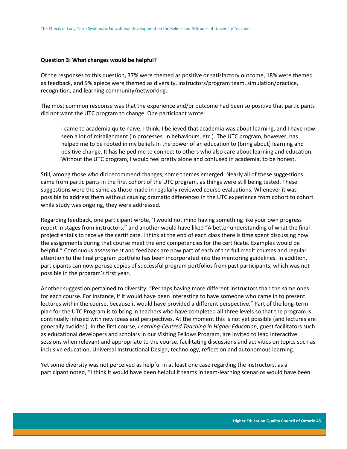#### **Question 3: What changes would be helpful?**

Of the responses to this question, 37% were themed as positive or satisfactory outcome, 18% were themed as feedback, and 9% apiece were themed as diversity, instructors/program team, simulation/practice, recognition, and learning community/networking.

The most common response was that the experience and/or outcome had been so positive that participants did not want the UTC program to change. One participant wrote:

I came to academia quite naïve, I think. I believed that academia was about learning, and I have now seen a lot of misalignment (in processes, in behaviours, etc.). The UTC program, however, has helped me to be rooted in my beliefs in the power of an education to (bring about) learning and positive change. It has helped me to connect to others who also care about learning and education. Without the UTC program, I would feel pretty alone and confused in academia, to be honest.

Still, among those who did recommend changes, some themes emerged. Nearly all of these suggestions came from participants in the first cohort of the UTC program, as things were still being tested. These suggestions were the same as those made in regularly reviewed course evaluations. Whenever it was possible to address them without causing dramatic differences in the UTC experience from cohort to cohort while study was ongoing, they were addressed.

Regarding feedback, one participant wrote, 'I would not mind having something like your own progress report in stages from instructors," and another would have liked "A better understanding of what the final project entails to receive the certificate. I think at the end of each class there is time spent discussing how the assignments during that course meet the end competencies for the certificate. Examples would be helpful." Continuous assessment and feedback are now part of each of the full credit courses and regular attention to the final program portfolio has been incorporated into the mentoring guidelines. In addition, participants can now peruse copies of successful program portfolios from past participants, which was not possible in the program's first year.

Another suggestion pertained to diversity: "Perhaps having more different instructors than the same ones for each course. For instance, if it would have been interesting to have someone who came in to present lectures within the course, because it would have provided a different perspective." Part of the long-term plan for the UTC Program is to bring in teachers who have completed all three levels so that the program is continually infused with new ideas and perspectives. At the moment this is not yet possible (and lectures are generally avoided). In the first course, *Learning-Centred Teaching in Higher Education*, guest facilitators such as educational developers and scholars in our Visiting Fellows Program, are invited to lead interactive sessions when relevant and appropriate to the course, facilitating discussions and activities on topics such as inclusive education, Universal Instructional Design, technology, reflection and autonomous learning.

Yet some diversity was not perceived as helpful in at least one case regarding the instructors, as a participant noted, "I think it would have been helpful if teams in team-learning scenarios would have been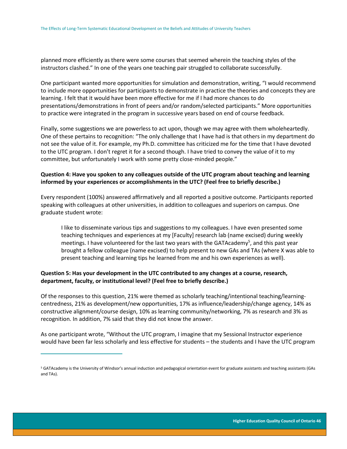planned more efficiently as there were some courses that seemed wherein the teaching styles of the instructors clashed." In one of the years one teaching pair struggled to collaborate successfully.

One participant wanted more opportunities for simulation and demonstration, writing, "I would recommend to include more opportunities for participants to demonstrate in practice the theories and concepts they are learning. I felt that it would have been more effective for me if I had more chances to do presentations/demonstrations in front of peers and/or random/selected participants." More opportunities to practice were integrated in the program in successive years based on end of course feedback.

Finally, some suggestions we are powerless to act upon, though we may agree with them wholeheartedly. One of these pertains to recognition: "The only challenge that I have had is that others in my department do not see the value of it. For example, my Ph.D. committee has criticized me for the time that I have devoted to the UTC program. I don't regret it for a second though. I have tried to convey the value of it to my committee, but unfortunately I work with some pretty close-minded people."

## **Question 4: Have you spoken to any colleagues outside of the UTC program about teaching and learning informed by your experiences or accomplishments in the UTC? (Feel free to briefly describe.)**

Every respondent (100%) answered affirmatively and all reported a positive outcome. Participants reported speaking with colleagues at other universities, in addition to colleagues and superiors on campus. One graduate student wrote:

I like to disseminate various tips and suggestions to my colleagues. I have even presented some teaching techniques and experiences at my [Faculty] research lab (name excised) during weekly meetings. I have volunteered for the last two years with the GATAcademy<sup>5</sup>, and this past year brought a fellow colleague (name excised) to help present to new GAs and TAs (where X was able to present teaching and learning tips he learned from me and his own experiences as well).

## **Question 5: Has your development in the UTC contributed to any changes at a course, research, department, faculty, or institutional level? (Feel free to briefly describe.)**

 $\overline{a}$ 

Of the responses to this question, 21% were themed as scholarly teaching/intentional teaching/learningcentredness, 21% as development/new opportunities, 17% as influence/leadership/change agency, 14% as constructive alignment/course design, 10% as learning community/networking, 7% as research and 3% as recognition. In addition, 7% said that they did not know the answer.

As one participant wrote, "Without the UTC program, I imagine that my Sessional Instructor experience would have been far less scholarly and less effective for students – the students and I have the UTC program

<sup>5</sup> GATAcademy is the University of Windsor's annual induction and pedagogical orientation event for graduate assistants and teaching assistants (GAs and TAs).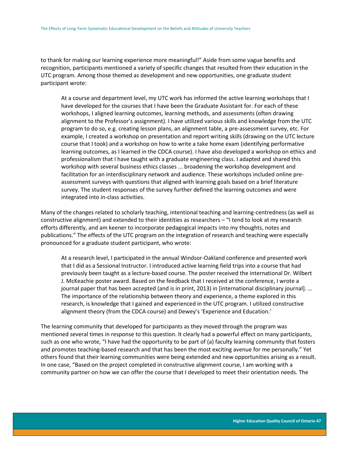to thank for making our learning experience more meaningful!" Aside from some vague benefits and recognition, participants mentioned a variety of specific changes that resulted from their education in the UTC program. Among those themed as development and new opportunities, one graduate student participant wrote:

At a course and department level, my UTC work has informed the active learning workshops that I have developed for the courses that I have been the Graduate Assistant for. For each of these workshops, I aligned learning outcomes, learning methods, and assessments (often drawing alignment to the Professor's assignment). I have utilized various skills and knowledge from the UTC program to do so, e.g. creating lesson plans, an alignment table, a pre-assessment survey, etc. For example, I created a workshop on presentation and report writing skills (drawing on the UTC lecture course that I took) and a workshop on how to write a take home exam (identifying performative learning outcomes, as I learned in the CDCA course). I have also developed a workshop on ethics and professionalism that I have taught with a graduate engineering class. I adapted and shared this workshop with several business ethics classes ... broadening the workshop development and facilitation for an interdisciplinary network and audience. These workshops included online preassessment surveys with questions that aligned with learning goals based on a brief literature survey. The student responses of the survey further defined the learning outcomes and were integrated into in-class activities.

Many of the changes related to scholarly teaching, intentional teaching and learning-centredness (as well as constructive alignment) and extended to their identities as researchers – "I tend to look at my research efforts differently, and am keener to incorporate pedagogical impacts into my thoughts, notes and publications." The effects of the UTC program on the integration of research and teaching were especially pronounced for a graduate student participant, who wrote:

At a research level, I participated in the annual Windsor-Oakland conference and presented work that I did as a Sessional Instructor. I introduced active learning field trips into a course that had previously been taught as a lecture-based course. The poster received the international Dr. Wilbert J. McKeachie poster award. Based on the feedback that I received at the conference, I wrote a journal paper that has been accepted (and is in print, 2013) in [international disciplinary journal]. … The importance of the relationship between theory and experience, a theme explored in this research, is knowledge that I gained and experienced in the UTC program. I utilized constructive alignment theory (from the CDCA course) and Dewey's 'Experience and Education.'

The learning community that developed for participants as they moved through the program was mentioned several times in response to this question. It clearly had a powerful effect on many participants, such as one who wrote, "I have had the opportunity to be part of (a) faculty learning community that fosters and promotes teaching-based research and that has been the most exciting avenue for me personally." Yet others found that their learning communities were being extended and new opportunities arising as a result. In one case, "Based on the project completed in constructive alignment course, I am working with a community partner on how we can offer the course that I developed to meet their orientation needs. The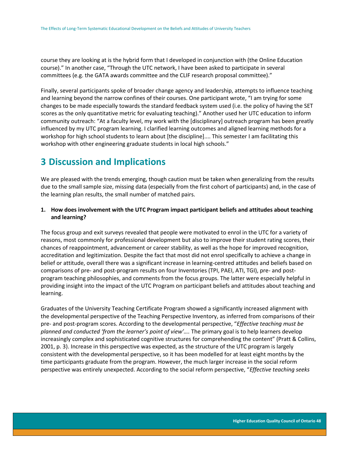course they are looking at is the hybrid form that I developed in conjunction with (the Online Education course)." In another case, "Through the UTC network, I have been asked to participate in several committees (e.g. the GATA awards committee and the CLIF research proposal committee)."

Finally, several participants spoke of broader change agency and leadership, attempts to influence teaching and learning beyond the narrow confines of their courses. One participant wrote, "I am trying for some changes to be made especially towards the standard feedback system used (i.e. the policy of having the SET scores as the only quantitative metric for evaluating teaching)." Another used her UTC education to inform community outreach: "At a faculty level, my work with the [disciplinary] outreach program has been greatly influenced by my UTC program learning. I clarified learning outcomes and aligned learning methods for a workshop for high school students to learn about [the discipline].... This semester I am facilitating this workshop with other engineering graduate students in local high schools."

# <span id="page-48-0"></span>**3 Discussion and Implications**

We are pleased with the trends emerging, though caution must be taken when generalizing from the results due to the small sample size, missing data (especially from the first cohort of participants) and, in the case of the learning plan results, the small number of matched pairs.

## **1. How does involvement with the UTC Program impact participant beliefs and attitudes about teaching and learning?**

The focus group and exit surveys revealed that people were motivated to enrol in the UTC for a variety of reasons, most commonly for professional development but also to improve their student rating scores, their chances of reappointment, advancement or career stability, as well as the hope for improved recognition, accreditation and legitimization. Despite the fact that most did not enrol specifically to achieve a change in belief or attitude, overall there was a significant increase in learning-centred attitudes and beliefs based on comparisons of pre- and post-program results on four Inventories (TPI, PAEI, ATI, TGI), pre- and postprogram teaching philosophies, and comments from the focus groups. The latter were especially helpful in providing insight into the impact of the UTC Program on participant beliefs and attitudes about teaching and learning.

Graduates of the University Teaching Certificate Program showed a significantly increased alignment with the developmental perspective of the Teaching Perspective Inventory, as inferred from comparisons of their pre- and post-program scores. According to the developmental perspective, "*Effective teaching must be planned and conducted 'from the learner's point of view'….* The primary goal is to help learners develop increasingly complex and sophisticated cognitive structures for comprehending the content" (Pratt & Collins, 2001, p. 3). Increase in this perspective was expected, as the structure of the UTC program is largely consistent with the developmental perspective, so it has been modelled for at least eight months by the time participants graduate from the program. However, the much larger increase in the social reform perspective was entirely unexpected. According to the social reform perspective, "*Effective teaching seeks*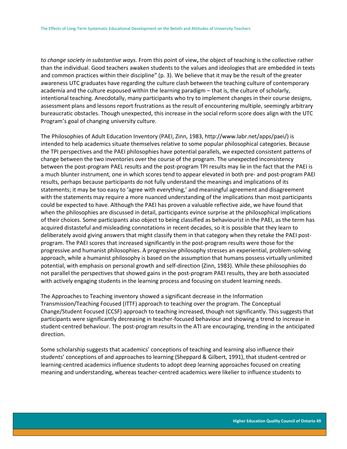*to change society in substantive ways.* From this point of view**,** the object of teaching is the collective rather than the individual. Good teachers awaken students to the values and ideologies that are embedded in texts and common practices within their discipline" (p. 3). We believe that it may be the result of the greater awareness UTC graduates have regarding the culture clash between the teaching culture of contemporary academia and the culture espoused within the learning paradigm – that is, the culture of scholarly, intentional teaching. Anecdotally, many participants who try to implement changes in their course designs, assessment plans and lessons report frustrations as the result of encountering multiple, seemingly arbitrary bureaucratic obstacles. Though unexpected, this increase in the social reform score does align with the UTC Program's goal of changing university culture.

The Philosophies of Adult Education Inventory (PAEI, Zinn, 1983, http://www.labr.net/apps/paei/) is intended to help academics situate themselves relative to some popular philosophical categories. Because the TPI perspectives and the PAEI philosophies have potential parallels, we expected consistent patterns of change between the two inventories over the course of the program. The unexpected inconsistency between the post-program PAEL results and the post-program TPI results may lie in the fact that the PAEI is a much blunter instrument, one in which scores tend to appear elevated in both pre- and post-program PAEI results, perhaps because participants do not fully understand the meanings and implications of its statements; it may be too easy to 'agree with everything,' and meaningful agreement and disagreement with the statements may require a more nuanced understanding of the implications than most participants could be expected to have. Although the PAEI has proven a valuable reflective aide, we have found that when the philosophies are discussed in detail, participants evince surprise at the philosophical implications of their choices. Some participants also object to being classified as behaviourist in the PAEI, as the term has acquired distasteful and misleading connotations in recent decades, so it is possible that they learn to deliberately avoid giving answers that might classify them in that category when they retake the PAEI postprogram. The PAEI scores that increased significantly in the post-program results were those for the progressive and humanist philosophies. A progressive philosophy stresses an experiential, problem-solving approach, while a humanist philosophy is based on the assumption that humans possess virtually unlimited potential, with emphasis on personal growth and self-direction (Zinn, 1983). While these philosophies do not parallel the perspectives that showed gains in the post-program PAEI results, they are both associated with actively engaging students in the learning process and focusing on student learning needs.

The Approaches to Teaching inventory showed a significant decrease in the Information Transmission/Teaching Focused (ITTF) approach to teaching over the program. The Conceptual Change/Student Focused (CCSF) approach to teaching increased, though not significantly. This suggests that participants were significantly decreasing in teacher-focused behaviour and showing a trend to increase in student-centred behaviour. The post-program results in the ATI are encouraging, trending in the anticipated direction.

Some scholarship suggests that academics' conceptions of teaching and learning also influence their students' conceptions of and approaches to learning (Sheppard & Gilbert, 1991), that student-centred or learning-centred academics influence students to adopt deep learning approaches focused on creating meaning and understanding, whereas teacher-centred academics were likelier to influence students to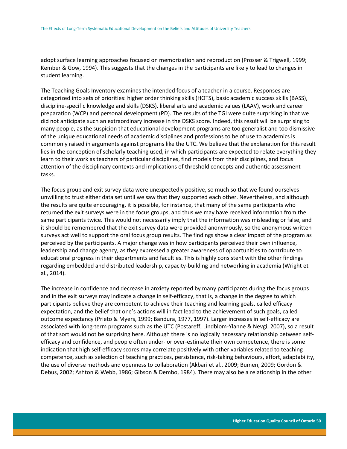adopt surface learning approaches focused on memorization and reproduction (Prosser & Trigwell, 1999; Kember & Gow, 1994). This suggests that the changes in the participants are likely to lead to changes in student learning.

The Teaching Goals Inventory examines the intended focus of a teacher in a course. Responses are categorized into sets of priorities: higher order thinking skills (HOTS), basic academic success skills (BASS), discipline-specific knowledge and skills (DSKS), liberal arts and academic values (LAAV), work and career preparation (WCP) and personal development (PD). The results of the TGI were quite surprising in that we did not anticipate such an extraordinary increase in the DSKS score. Indeed, this result will be surprising to many people, as the suspicion that educational development programs are too generalist and too dismissive of the unique educational needs of academic disciplines and professions to be of use to academics is commonly raised in arguments against programs like the UTC. We believe that the explanation for this result lies in the conception of scholarly teaching used, in which participants are expected to relate everything they learn to their work as teachers of particular disciplines, find models from their disciplines, and focus attention of the disciplinary contexts and implications of threshold concepts and authentic assessment tasks.

The focus group and exit survey data were unexpectedly positive, so much so that we found ourselves unwilling to trust either data set until we saw that they supported each other. Nevertheless, and although the results are quite encouraging, it is possible, for instance, that many of the same participants who returned the exit surveys were in the focus groups, and thus we may have received information from the same participants twice. This would not necessarily imply that the information was misleading or false, and it should be remembered that the exit survey data were provided anonymously, so the anonymous written surveys act well to support the oral focus group results. The findings show a clear impact of the program as perceived by the participants. A major change was in how participants perceived their own influence, leadership and change agency, as they expressed a greater awareness of opportunities to contribute to educational progress in their departments and faculties. This is highly consistent with the other findings regarding embedded and distributed leadership, capacity-building and networking in academia (Wright et al., 2014).

The increase in confidence and decrease in anxiety reported by many participants during the focus groups and in the exit surveys may indicate a change in self-efficacy, that is, a change in the degree to which participants believe they are competent to achieve their teaching and learning goals, called efficacy expectation, and the belief that one's actions will in fact lead to the achievement of such goals, called outcome expectancy (Prieto & Myers, 1999; Bandura, 1977, 1997). Larger increases in self-efficacy are associated with long-term programs such as the UTC (Postareff, Lindblom-Ylanne & Nevgi, 2007), so a result of that sort would not be surprising here. Although there is no logically necessary relationship between selfefficacy and confidence, and people often under- or over-estimate their own competence, there is some indication that high self-efficacy scores may correlate positively with other variables related to teaching competence, such as selection of teaching practices, persistence, risk-taking behaviours, effort, adaptability, the use of diverse methods and openness to collaboration (Akbari et al., 2009; Bumen, 2009; Gordon & Debus, 2002; Ashton & Webb, 1986; Gibson & Dembo, 1984). There may also be a relationship in the other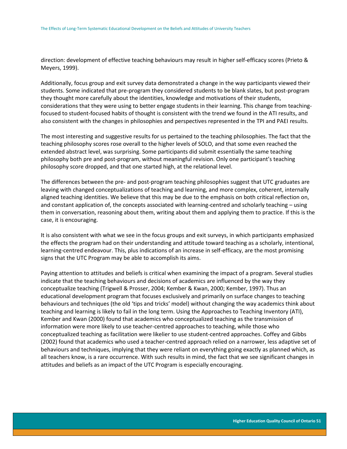direction: development of effective teaching behaviours may result in higher self-efficacy scores (Prieto & Meyers, 1999).

Additionally, focus group and exit survey data demonstrated a change in the way participants viewed their students. Some indicated that pre-program they considered students to be blank slates, but post-program they thought more carefully about the identities, knowledge and motivations of their students, considerations that they were using to better engage students in their learning. This change from teachingfocused to student-focused habits of thought is consistent with the trend we found in the ATI results, and also consistent with the changes in philosophies and perspectives represented in the TPI and PAEI results.

The most interesting and suggestive results for us pertained to the teaching philosophies. The fact that the teaching philosophy scores rose overall to the higher levels of SOLO, and that some even reached the extended abstract level, was surprising. Some participants did submit essentially the same teaching philosophy both pre and post-program, without meaningful revision. Only one participant's teaching philosophy score dropped, and that one started high, at the relational level.

The differences between the pre- and post-program teaching philosophies suggest that UTC graduates are leaving with changed conceptualizations of teaching and learning, and more complex, coherent, internally aligned teaching identities. We believe that this may be due to the emphasis on both critical reflection on, and constant application of, the concepts associated with learning-centred and scholarly teaching – using them in conversation, reasoning about them, writing about them and applying them to practice. If this is the case, it is encouraging.

It is also consistent with what we see in the focus groups and exit surveys, in which participants emphasized the effects the program had on their understanding and attitude toward teaching as a scholarly, intentional, learning-centred endeavour. This, plus indications of an increase in self-efficacy, are the most promising signs that the UTC Program may be able to accomplish its aims.

Paying attention to attitudes and beliefs is critical when examining the impact of a program. Several studies indicate that the teaching behaviours and decisions of academics are influenced by the way they conceptualize teaching (Trigwell & Prosser, 2004; Kember & Kwan, 2000; Kember, 1997). Thus an educational development program that focuses exclusively and primarily on surface changes to teaching behaviours and techniques (the old 'tips and tricks' model) without changing the way academics think about teaching and learning is likely to fail in the long term. Using the Approaches to Teaching Inventory (ATI), Kember and Kwan (2000) found that academics who conceptualized teaching as the transmission of information were more likely to use teacher-centred approaches to teaching, while those who conceptualized teaching as facilitation were likelier to use student-centred approaches. Coffey and Gibbs (2002) found that academics who used a teacher-centred approach relied on a narrower, less adaptive set of behaviours and techniques, implying that they were reliant on everything going exactly as planned which, as all teachers know, is a rare occurrence. With such results in mind, the fact that we see significant changes in attitudes and beliefs as an impact of the UTC Program is especially encouraging.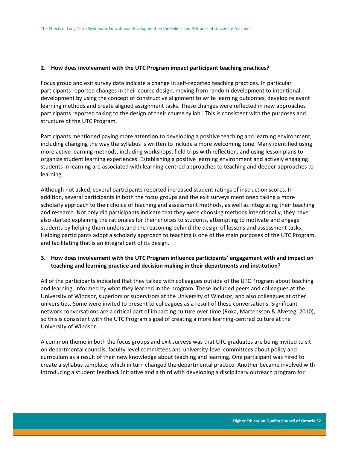#### **2. How does involvement with the UTC Program impact participant teaching practices?**

Focus group and exit survey data indicate a change in self-reported teaching practices. In particular participants reported changes in their course design, moving from random development to intentional development by using the concept of constructive alignment to write learning outcomes, develop relevant learning methods and create aligned assignment tasks. These changes were reflected in new approaches participants reported taking to the design of their course syllabi. This is consistent with the purposes and structure of the UTC Program.

Participants mentioned paying more attention to developing a positive teaching and learning environment, including changing the way the syllabus is written to include a more welcoming tone. Many identified using more active learning methods, including workshops, field trips with reflection, and using lesson plans to organize student learning experiences. Establishing a positive learning environment and actively engaging students in learning are associated with learning-centred approaches to teaching and deeper approaches to learning.

Although not asked, several participants reported increased student ratings of instruction scores. In addition, several participants in both the focus groups and the exit surveys mentioned taking a more scholarly approach to their choice of teaching and assessment methods, as well as integrating their teaching and research. Not only did participants indicate that they were choosing methods intentionally, they have also started explaining the rationales for their choices to students, attempting to motivate and engage students by helping them understand the reasoning behind the design of lessons and assessment tasks. Helping participants adopt a scholarly approach to teaching is one of the main purposes of the UTC Program, and facilitating that is an integral part of its design.

## **3. How does involvement with the UTC Program influence participants' engagement with and impact on teaching and learning practice and decision making in their departments and institution?**

All of the participants indicated that they talked with colleagues outside of the UTC Program about teaching and learning, informed by what they learned in the program. These included peers and colleagues at the University of Windsor, superiors or supervisors at the University of Windsor, and also colleagues at other universities. Some were invited to present to colleagues as a result of these conversations. Significant network conversations are a critical part of impacting culture over time (Roxa, Martensson & Alveteg, 2010), so this is consistent with the UTC Program's goal of creating a more learning-centred culture at the University of Windsor.

A common theme in both the focus groups and exit surveys was that UTC graduates are being invited to sit on departmental councils, faculty-level committees and university-level committees about policy and curriculum as a result of their new knowledge about teaching and learning. One participant was hired to create a syllabus template, which in turn changed the departmental practice. Another became involved with introducing a student feedback initiative and a third with developing a disciplinary outreach program for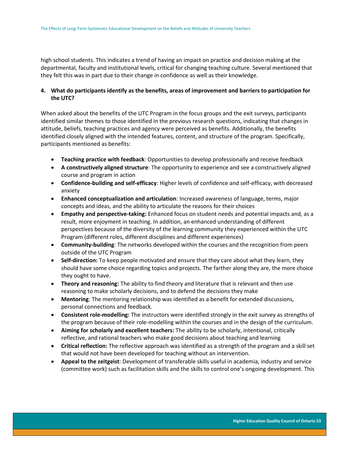high school students. This indicates a trend of having an impact on practice and decision making at the departmental, faculty and institutional levels, critical for changing teaching culture. Several mentioned that they felt this was in part due to their change in confidence as well as their knowledge.

## **4. What do participants identify as the benefits, areas of improvement and barriers to participation for the UTC?**

When asked about the benefits of the UTC Program in the focus groups and the exit surveys, participants identified similar themes to those identified in the previous research questions, indicating that changes in attitude, beliefs, teaching practices and agency were perceived as benefits. Additionally, the benefits identified closely aligned with the intended features, content, and structure of the program. Specifically, participants mentioned as benefits:

- **Teaching practice with feedback**: Opportunities to develop professionally and receive feedback
- **A constructively aligned structure**: The opportunity to experience and see a constructively aligned course and program in action
- **Confidence-building and self-efficacy**: Higher levels of confidence and self-efficacy, with decreased anxiety
- **Enhanced conceptualization and articulation**: Increased awareness of language, terms, major concepts and ideas, and the ability to articulate the reasons for their choices
- **Empathy and perspective-taking:** Enhanced focus on student needs and potential impacts and, as a result, more enjoyment in teaching. In addition, an enhanced understanding of different perspectives because of the diversity of the learning community they experienced within the UTC Program (different roles, different disciplines and different experiences)
- **Community-building**: The networks developed within the courses and the recognition from peers outside of the UTC Program
- **Self-direction:** To keep people motivated and ensure that they care about what they learn, they should have some choice regarding topics and projects. The farther along they are, the more choice they ought to have.
- **Theory and reasoning:** The ability to find theory and literature that is relevant and then use reasoning to make scholarly decisions, and to defend the decisions they make
- **Mentoring**: The mentoring relationship was identified as a benefit for extended discussions, personal connections and feedback.
- **Consistent role-modelling:** The instructors were identified strongly in the exit survey as strengths of the program because of their role-modelling within the courses and in the design of the curriculum.
- **Aiming for scholarly and excellent teachers:** The ability to be scholarly, intentional, critically reflective, and rational teachers who make good decisions about teaching and learning
- **Critical reflection:** The reflective approach was identified as a strength of the program and a skill set that would not have been developed for teaching without an intervention.
- **Appeal to the zeitgeist**: Development of transferable skills useful in academia, industry and service (committee work) such as facilitation skills and the skills to control one's ongoing development. This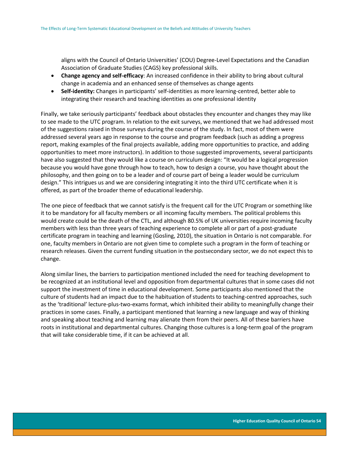aligns with the Council of Ontario Universities' (COU) Degree-Level Expectations and the Canadian Association of Graduate Studies (CAGS) key professional skills.

- **Change agency and self-efficacy**: An increased confidence in their ability to bring about cultural change in academia and an enhanced sense of themselves as change agents
- **Self-identity:** Changes in participants' self-identities as more learning-centred, better able to integrating their research and teaching identities as one professional identity

Finally, we take seriously participants' feedback about obstacles they encounter and changes they may like to see made to the UTC program. In relation to the exit surveys, we mentioned that we had addressed most of the suggestions raised in those surveys during the course of the study. In fact, most of them were addressed several years ago in response to the course and program feedback (such as adding a progress report, making examples of the final projects available, adding more opportunities to practice, and adding opportunities to meet more instructors). In addition to those suggested improvements, several participants have also suggested that they would like a course on curriculum design: "It would be a logical progression because you would have gone through how to teach, how to design a course, you have thought about the philosophy, and then going on to be a leader and of course part of being a leader would be curriculum design." This intrigues us and we are considering integrating it into the third UTC certificate when it is offered, as part of the broader theme of educational leadership.

The one piece of feedback that we cannot satisfy is the frequent call for the UTC Program or something like it to be mandatory for all faculty members or all incoming faculty members. The political problems this would create could be the death of the CTL, and although 80.5% of UK universities require incoming faculty members with less than three years of teaching experience to complete all or part of a post-graduate certificate program in teaching and learning (Gosling, 2010), the situation in Ontario is not comparable. For one, faculty members in Ontario are not given time to complete such a program in the form of teaching or research releases. Given the current funding situation in the postsecondary sector, we do not expect this to change.

<span id="page-54-0"></span>Along similar lines, the barriers to participation mentioned included the need for teaching development to be recognized at an institutional level and opposition from departmental cultures that in some cases did not support the investment of time in educational development. Some participants also mentioned that the culture of students had an impact due to the habituation of students to teaching-centred approaches, such as the 'traditional' lecture-plus-two-exams format, which inhibited their ability to meaningfully change their practices in some cases. Finally, a participant mentioned that learning a new language and way of thinking and speaking about teaching and learning may alienate them from their peers. All of these barriers have roots in institutional and departmental cultures. Changing those cultures is a long-term goal of the program that will take considerable time, if it can be achieved at all.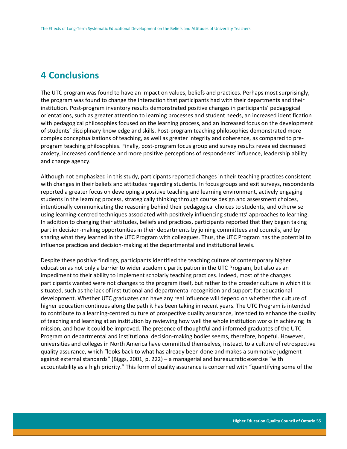# **4 Conclusions**

The UTC program was found to have an impact on values, beliefs and practices. Perhaps most surprisingly, the program was found to change the interaction that participants had with their departments and their institution. Post-program inventory results demonstrated positive changes in participants' pedagogical orientations, such as greater attention to learning processes and student needs, an increased identification with pedagogical philosophies focused on the learning process, and an increased focus on the development of students' disciplinary knowledge and skills. Post-program teaching philosophies demonstrated more complex conceptualizations of teaching, as well as greater integrity and coherence, as compared to preprogram teaching philosophies. Finally, post-program focus group and survey results revealed decreased anxiety, increased confidence and more positive perceptions of respondents' influence, leadership ability and change agency.

Although not emphasized in this study, participants reported changes in their teaching practices consistent with changes in their beliefs and attitudes regarding students. In focus groups and exit surveys, respondents reported a greater focus on developing a positive teaching and learning environment, actively engaging students in the learning process, strategically thinking through course design and assessment choices, intentionally communicating the reasoning behind their pedagogical choices to students, and otherwise using learning-centred techniques associated with positively influencing students' approaches to learning. In addition to changing their attitudes, beliefs and practices, participants reported that they began taking part in decision-making opportunities in their departments by joining committees and councils, and by sharing what they learned in the UTC Program with colleagues. Thus, the UTC Program has the potential to influence practices and decision-making at the departmental and institutional levels.

Despite these positive findings, participants identified the teaching culture of contemporary higher education as not only a barrier to wider academic participation in the UTC Program, but also as an impediment to their ability to implement scholarly teaching practices. Indeed, most of the changes participants wanted were not changes to the program itself, but rather to the broader culture in which it is situated, such as the lack of institutional and departmental recognition and support for educational development. Whether UTC graduates can have any real influence will depend on whether the culture of higher education continues along the path it has been taking in recent years. The UTC Program is intended to contribute to a learning-centred culture of prospective quality assurance, intended to enhance the quality of teaching and learning at an institution by reviewing how well the whole institution works in achieving its mission, and how it could be improved. The presence of thoughtful and informed graduates of the UTC Program on departmental and institutional decision-making bodies seems, therefore, hopeful. However, universities and colleges in North America have committed themselves, instead, to a culture of retrospective quality assurance, which "looks back to what has already been done and makes a summative judgment against external standards" (Biggs, 2001, p. 222) – a managerial and bureaucratic exercise "with accountability as a high priority." This form of quality assurance is concerned with "quantifying some of the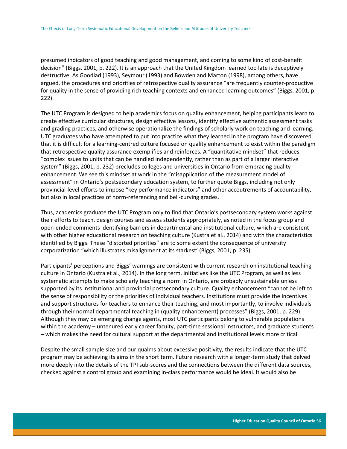presumed indicators of good teaching and good management, and coming to some kind of cost-benefit decision" (Biggs, 2001, p. 222). It is an approach that the United Kingdom learned too late is deceptively destructive. As Goodlad (1993), Seymour (1993) and Bowden and Marton (1998), among others, have argued, the procedures and priorities of retrospective quality assurance "are frequently counter-productive for quality in the sense of providing rich teaching contexts and enhanced learning outcomes" (Biggs, 2001, p. 222).

The UTC Program is designed to help academics focus on quality enhancement, helping participants learn to create effective curricular structures, design effective lessons, identify effective authentic assessment tasks and grading practices, and otherwise operationalize the findings of scholarly work on teaching and learning. UTC graduates who have attempted to put into practice what they learned in the program have discovered that it is difficult for a learning-centred culture focused on quality enhancement to exist within the paradigm that retrospective quality assurance exemplifies and reinforces. A "quantitative mindset" that reduces "complex issues to units that can be handled independently, rather than as part of a larger interactive system" (Biggs, 2001, p. 232) precludes colleges and universities in Ontario from embracing quality enhancement. We see this mindset at work in the "misapplication of the measurement model of assessment" in Ontario's postsecondary education system, to further quote Biggs, including not only provincial-level efforts to impose "key performance indicators" and other accoutrements of accountability, but also in local practices of norm-referencing and bell-curving grades.

Thus, academics graduate the UTC Program only to find that Ontario's postsecondary system works against their efforts to teach, design courses and assess students appropriately, as noted in the focus group and open-ended comments identifying barriers in departmental and institutional culture, which are consistent with other higher educational research on teaching culture (Kustra et al., 2014) and with the characteristics identified by Biggs. These "distorted priorities" are to some extent the consequence of university corporatization "which illustrates misalignment at its starkest' (Biggs, 2001, p. 235).

Participants' perceptions and Biggs' warnings are consistent with current research on institutional teaching culture in Ontario (Kustra et al., 2014). In the long term, initiatives like the UTC Program, as well as less systematic attempts to make scholarly teaching a norm in Ontario, are probably unsustainable unless supported by its institutional and provincial postsecondary culture. Quality enhancement "cannot be left to the sense of responsibility or the priorities of individual teachers. Institutions must provide the incentives and support structures for teachers to enhance their teaching, and most importantly, to involve individuals through their normal departmental teaching in (quality enhancement) processes" (Biggs, 2001, p. 229). Although they may be emerging change agents, most UTC participants belong to vulnerable populations within the academy – untenured early career faculty, part-time sessional instructors, and graduate students – which makes the need for cultural support at the departmental and institutional levels more critical.

Despite the small sample size and our qualms about excessive positivity, the results indicate that the UTC program may be achieving its aims in the short term. Future research with a longer-term study that delved more deeply into the details of the TPI sub-scores and the connections between the different data sources, checked against a control group and examining in-class performance would be ideal. It would also be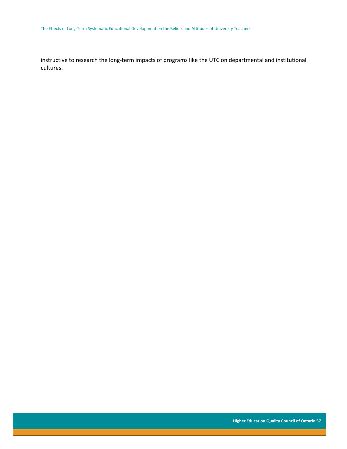instructive to research the long-term impacts of programs like the UTC on departmental and institutional cultures.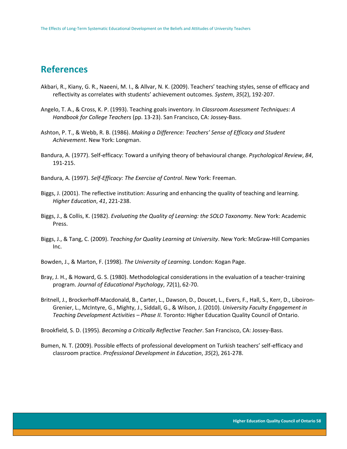# <span id="page-58-0"></span>**References**

- Akbari, R., Kiany, G. R., Naeeni, M. I., & Allvar, N. K. (2009). Teachers' teaching styles, sense of efficacy and reflectivity as correlates with students' achievement outcomes. *System*, *35*(2), 192-207.
- Angelo, T. A., & Cross, K. P. (1993). Teaching goals inventory. In *Classroom Assessment Techniques: A Handbook for College Teachers* (pp. 13-23). San Francisco, CA: Jossey-Bass.
- Ashton, P. T., & Webb, R. B. (1986). *Making a Difference: Teachers' Sense of Efficacy and Student Achievement*. New York: Longman.
- Bandura, A. (1977). Self-efficacy: Toward a unifying theory of behavioural change. *Psychological Review*, *84*, 191-215.

Bandura, A. (1997). *Self-Efficacy: The Exercise of Control*. New York: Freeman.

- Biggs, J. (2001). The reflective institution: Assuring and enhancing the quality of teaching and learning. *Higher Education*, *41*, 221-238.
- Biggs, J., & Collis, K. (1982). *Evaluating the Quality of Learning: the SOLO Taxonomy*. New York: Academic Press.
- Biggs, J., & Tang, C. (2009). *Teaching for Quality Learning at University*. New York: McGraw-Hill Companies Inc.
- Bowden, J., & Marton, F. (1998). *The University of Learning*. London: Kogan Page.
- Bray, J. H., & Howard, G. S. (1980). Methodological considerations in the evaluation of a teacher-training program. *Journal of Educational Psychology*, *72*(1), 62-70.
- Britnell, J., Brockerhoff-Macdonald, B., Carter, L., Dawson, D., Doucet, L., Evers, F., Hall, S., Kerr, D., Liboiron-Grenier, L., McIntyre, G., Mighty, J., Siddall, G., & Wilson, J. (2010)*. University Faculty Engagement in Teaching Development Activities – Phase II.* Toronto: Higher Education Quality Council of Ontario.

Brookfield, S. D. (1995). *Becoming a Critically Reflective Teacher*. San Francisco, CA: Jossey-Bass.

Bumen, N. T. (2009). Possible effects of professional development on Turkish teachers' self-efficacy and classroom practice. *Professional Development in Education*, *35*(2), 261-278.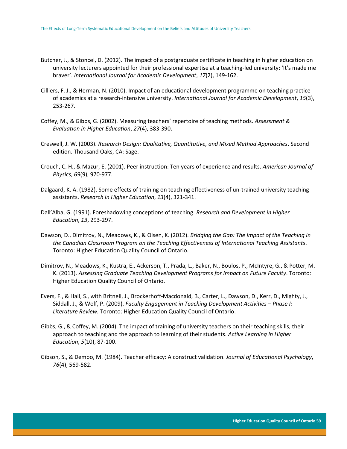- Butcher, J., & Stoncel, D. (2012). The impact of a postgraduate certificate in teaching in higher education on university lecturers appointed for their professional expertise at a teaching-led university: 'It's made me braver'. *International Journal for Academic Development*, *17*(2), 149-162.
- Cilliers, F. J., & Herman, N. (2010). Impact of an educational development programme on teaching practice of academics at a research-intensive university. *International Journal for Academic Development*, *15*(3), 253-267.
- Coffey, M., & Gibbs, G. (2002). Measuring teachers' repertoire of teaching methods. *Assessment & Evaluation in Higher Education*, *27*(4), 383-390.
- Creswell, J. W. (2003). *Research Design: Qualitative, Quantitative, and Mixed Method Approaches*. Second edition. Thousand Oaks, CA: Sage.
- Crouch, C. H., & Mazur, E. (2001). Peer instruction: Ten years of experience and results. *American Journal of Physics*, *69*(9), 970-977.
- Dalgaard, K. A. (1982). Some effects of training on teaching effectiveness of un-trained university teaching assistants. *Research in Higher Education*, *13*(4), 321-341.
- Dall'Alba, G. (1991). Foreshadowing conceptions of teaching. *Research and Development in Higher Education*, *13*, 293-297.
- Dawson, D., Dimitrov, N., Meadows, K., & Olsen, K. (2012). *Bridging the Gap: The Impact of the Teaching in the Canadian Classroom Program on the Teaching Effectiveness of International Teaching Assistants*. Toronto: Higher Education Quality Council of Ontario.
- Dimitrov, N., Meadows, K., Kustra, E., Ackerson, T., Prada, L., Baker, N., Boulos, P., McIntyre, G., & Potter, M. K. (2013). *Assessing Graduate Teaching Development Programs for Impact on Future Faculty*. Toronto: Higher Education Quality Council of Ontario.
- Evers, F., & Hall, S., with Britnell, J., Brockerhoff-Macdonald, B., Carter, L., Dawson, D., Kerr, D., Mighty, J., Siddall, J., & Wolf, P. (2009). *Faculty Engagement in Teaching Development Activities – Phase I: Literature Review.* Toronto: Higher Education Quality Council of Ontario.
- Gibbs, G., & Coffey, M. (2004). The impact of training of university teachers on their teaching skills, their approach to teaching and the approach to learning of their students. *Active Learning in Higher Education*, *5*(10), 87-100.
- Gibson, S., & Dembo, M. (1984). Teacher efficacy: A construct validation. *Journal of Educational Psychology*, *76*(4), 569-582.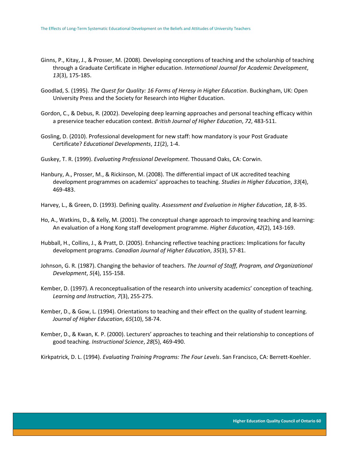- Ginns, P., Kitay, J., & Prosser, M. (2008). Developing conceptions of teaching and the scholarship of teaching through a Graduate Certificate in Higher education. *International Journal for Academic Development*, *13*(3), 175-185.
- Goodlad, S. (1995). *The Quest for Quality: 16 Forms of Heresy in Higher Education*. Buckingham, UK: Open University Press and the Society for Research into Higher Education.
- Gordon, C., & Debus, R. (2002). Developing deep learning approaches and personal teaching efficacy within a preservice teacher education context. *British Journal of Higher Education*, *72*, 483-511.
- Gosling, D. (2010). Professional development for new staff: how mandatory is your Post Graduate Certificate? *Educational Developments*, *11*(2), 1-4.
- Guskey, T. R. (1999). *Evaluating Professional Development*. Thousand Oaks, CA: Corwin.
- Hanbury, A., Prosser, M., & Rickinson, M. (2008). The differential impact of UK accredited teaching development programmes on academics' approaches to teaching. *Studies in Higher Education*, *33*(4), 469-483.

Harvey, L., & Green, D. (1993). Defining quality. *Assessment and Evaluation in Higher Education*, *18*, 8-35.

- Ho, A., Watkins, D., & Kelly, M. (2001). The conceptual change approach to improving teaching and learning: An evaluation of a Hong Kong staff development programme. *Higher Education*, *42*(2), 143-169.
- Hubball, H., Collins, J., & Pratt, D. (2005). Enhancing reflective teaching practices: Implications for faculty development programs. *Canadian Journal of Higher Education*, *35*(3), 57-81.
- Johnson, G. R. (1987). Changing the behavior of teachers. *The Journal of Staff, Program, and Organizational Development*, *5*(4), 155-158.
- Kember, D. (1997). A reconceptualisation of the research into university academics' conception of teaching. *Learning and Instruction*, *7*(3), 255-275.
- Kember, D., & Gow, L. (1994). Orientations to teaching and their effect on the quality of student learning. *Journal of Higher Education*, *65*(10), 58-74.
- Kember, D., & Kwan, K. P. (2000). Lecturers' approaches to teaching and their relationship to conceptions of good teaching. *Instructional Science*, *28*(5), 469-490.
- Kirkpatrick, D. L. (1994). *Evaluating Training Programs: The Four Levels*. San Francisco, CA: Berrett-Koehler.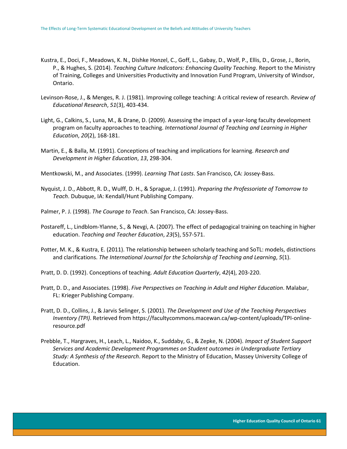- Kustra, E., Doci, F., Meadows, K. N., Dishke Honzel, C., Goff, L., Gabay, D., Wolf, P., Ellis, D., Grose, J., Borin, P., & Hughes, S. (2014). *Teaching Culture Indicators: Enhancing Quality Teaching*. Report to the Ministry of Training, Colleges and Universities Productivity and Innovation Fund Program, University of Windsor, Ontario.
- Levinson-Rose, J., & Menges, R. J. (1981). Improving college teaching: A critical review of research. *Review of Educational Research*, *51*(3), 403-434.
- Light, G., Calkins, S., Luna, M., & Drane, D. (2009). Assessing the impact of a year-long faculty development program on faculty approaches to teaching. *International Journal of Teaching and Learning in Higher Education*, *20*(2), 168-181.
- Martin, E., & Balla, M. (1991). Conceptions of teaching and implications for learning. *Research and Development in Higher Education*, *13*, 298-304.
- Mentkowski, M., and Associates. (1999). *Learning That Lasts*. San Francisco, CA: Jossey-Bass.
- Nyquist, J. D., Abbott, R. D., Wulff, D. H., & Sprague, J. (1991). *Preparing the Professoriate of Tomorrow to Teach*. Dubuque, IA: Kendall/Hunt Publishing Company.
- Palmer, P. J. (1998). *The Courage to Teach*. San Francisco, CA: Jossey-Bass.
- Postareff, L., Lindblom-Ylanne, S., & Nevgi, A. (2007). The effect of pedagogical training on teaching in higher education. *Teaching and Teacher Education*, *23*(5), 557-571.
- Potter, M. K., & Kustra, E. (2011). The relationship between scholarly teaching and SoTL: models, distinctions and clarifications. *The International Journal for the Scholarship of Teaching and Learning*, *5*(1).
- Pratt, D. D. (1992). Conceptions of teaching. *Adult Education Quarterly*, *42*(4), 203-220.
- Pratt, D. D., and Associates. (1998). *Five Perspectives on Teaching in Adult and Higher Education*. Malabar, FL: Krieger Publishing Company.
- Pratt, D. D., Collins, J., & Jarvis Selinger, S. (2001). *The Development and Use of the Teaching Perspectives Inventory (TPI)*. Retrieved from https://facultycommons.macewan.ca/wp-content/uploads/TPI-onlineresource.pdf
- Prebble, T., Hargraves, H., Leach, L., Naidoo, K., Suddaby, G., & Zepke, N. (2004). *Impact of Student Support Services and Academic Development Programmes on Student outcomes in Undergraduate Tertiary Study: A Synthesis of the Research*. Report to the Ministry of Education, Massey University College of Education.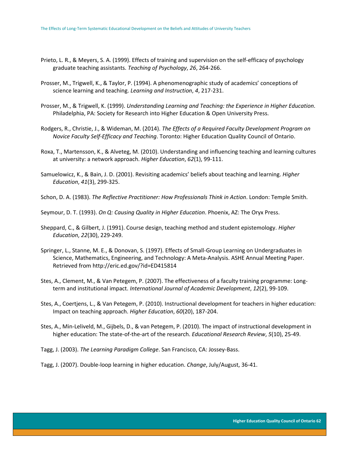- Prieto, L. R., & Meyers, S. A. (1999). Effects of training and supervision on the self-efficacy of psychology graduate teaching assistants. *Teaching of Psychology*, *26*, 264-266.
- Prosser, M., Trigwell, K., & Taylor, P. (1994). A phenomenographic study of academics' conceptions of science learning and teaching. *Learning and Instruction*, *4*, 217-231.
- Prosser, M., & Trigwell, K. (1999). *Understanding Learning and Teaching: the Experience in Higher Education*. Philadelphia, PA: Society for Research into Higher Education & Open University Press.
- Rodgers, R., Christie, J., & Wideman, M. (2014). *The Effects of a Required Faculty Development Program on Novice Faculty Self-Efficacy and Teaching*. Toronto: Higher Education Quality Council of Ontario.
- Roxa, T., Martensson, K., & Alveteg, M. (2010). Understanding and influencing teaching and learning cultures at university: a network approach. *Higher Education*, *62*(1), 99-111.
- Samuelowicz, K., & Bain, J. D. (2001). Revisiting academics' beliefs about teaching and learning. *Higher Education*, *41*(3), 299-325.
- Schon, D. A. (1983). *The Reflective Practitioner: How Professionals Think in Action*. London: Temple Smith.
- Seymour, D. T. (1993). *On Q: Causing Quality in Higher Education*. Phoenix, AZ: The Oryx Press.
- Sheppard, C., & Gilbert, J. (1991). Course design, teaching method and student epistemology. *Higher Education*, *22*(30), 229-249.
- Springer, L., Stanne, M. E., & Donovan, S. (1997). Effects of Small-Group Learning on Undergraduates in Science, Mathematics, Engineering, and Technology: A Meta-Analysis. ASHE Annual Meeting Paper. Retrieved from http://eric.ed.gov/?id=ED415814
- Stes, A., Clement, M., & Van Petegem, P. (2007). The effectiveness of a faculty training programme: Longterm and institutional impact. *International Journal of Academic Development*, *12*(2), 99-109.
- Stes, A., Coertjens, L., & Van Petegem, P. (2010). Instructional development for teachers in higher education: Impact on teaching approach. *Higher Education*, *60*(20), 187-204.
- Stes, A., Min-Leliveld, M., Gijbels, D., & van Petegem, P. (2010). The impact of instructional development in higher education: The state-of-the-art of the research. *Educational Research Review*, *5*(10), 25-49.
- Tagg, J. (2003). *The Learning Paradigm College*. San Francisco, CA: Jossey-Bass.
- Tagg, J. (2007). Double-loop learning in higher education. *Change*, July/August, 36-41.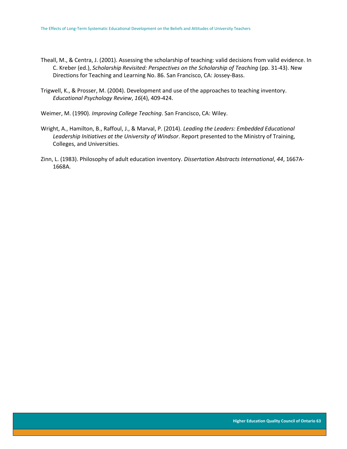- Theall, M., & Centra, J. (2001). Assessing the scholarship of teaching: valid decisions from valid evidence. In C. Kreber (ed.), *Scholarship Revisited: Perspectives on the Scholarship of Teaching* (pp. 31-43). New Directions for Teaching and Learning No. 86. San Francisco, CA: Jossey-Bass.
- Trigwell, K., & Prosser, M. (2004). Development and use of the approaches to teaching inventory. *Educational Psychology Review*, *16*(4), 409-424.
- Weimer, M. (1990). *Improving College Teaching*. San Francisco, CA: Wiley.
- Wright, A., Hamilton, B., Raffoul, J., & Marval, P. (2014). *Leading the Leaders: Embedded Educational Leadership Initiatives at the University of Windsor*. Report presented to the Ministry of Training, Colleges, and Universities.
- Zinn, L. (1983). Philosophy of adult education inventory. *Dissertation Abstracts International*, *44*, 1667A-1668A.